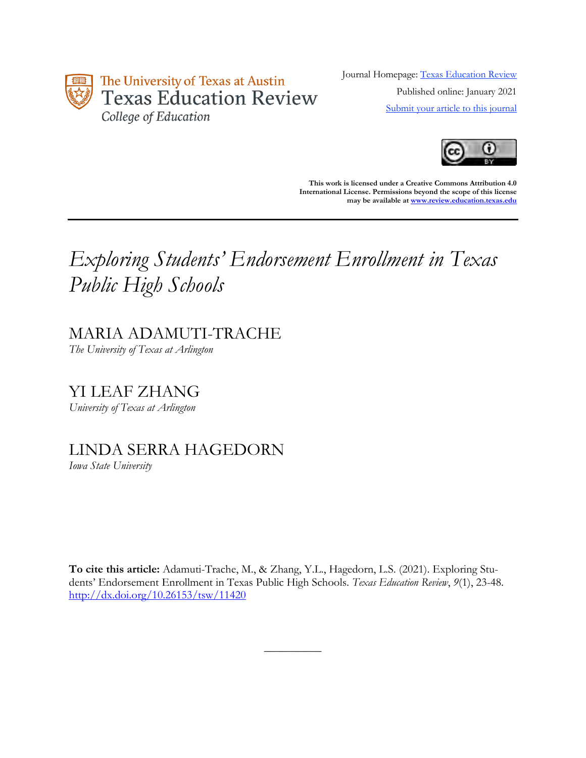

Journal Homepage: [Texas Education Review](https://review.education.utexas.edu/) Published online: January 2021 [Submit your article to this journal](https://review.education.utexas.edu/guidelines/)



**This work is licensed under a Creative Commons Attribution 4.0 International License. Permissions beyond the scope of this license may be available a[t www.review.education.texas.edu](http://www.review.education.texas.edu/)**

# *Exploring Students' Endorsement Enrollment in Texas Public High Schools*

## MARIA ADAMUTI-TRACHE

*The University of Texas at Arlington*

YI LEAF ZHANG *University of Texas at Arlington*

## LINDA SERRA HAGEDORN

*Iowa State University*

**To cite this article:** Adamuti-Trache, M., & Zhang, Y.L., Hagedorn, L.S. (2021). Exploring Students' Endorsement Enrollment in Texas Public High Schools. *Texas Education Review*, *9*(1), 23-48. <http://dx.doi.org/10.26153/tsw/11420>

 $\overline{\phantom{a}}$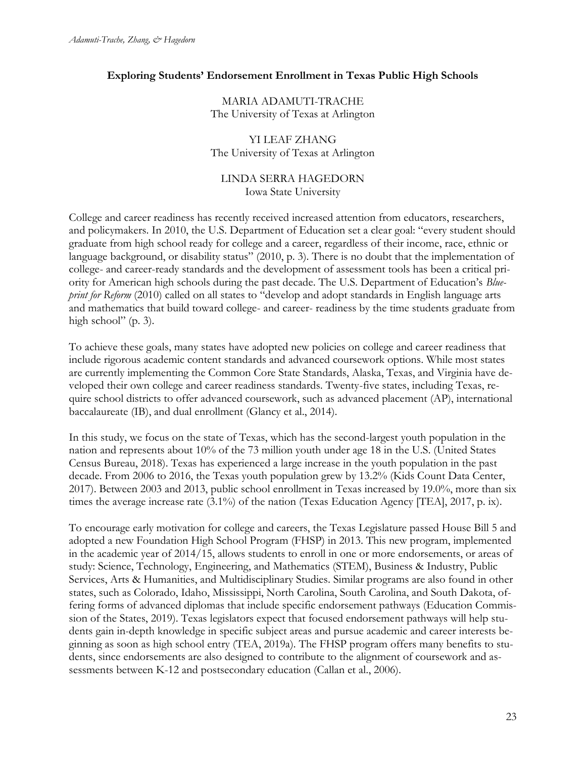## **Exploring Students' Endorsement Enrollment in Texas Public High Schools**

MARIA ADAMUTI-TRACHE The University of Texas at Arlington

## YI LEAF ZHANG The University of Texas at Arlington

## LINDA SERRA HAGEDORN Iowa State University

College and career readiness has recently received increased attention from educators, researchers, and policymakers. In 2010, the U.S. Department of Education set a clear goal: "every student should graduate from high school ready for college and a career, regardless of their income, race, ethnic or language background, or disability status" (2010, p. 3). There is no doubt that the implementation of college- and career-ready standards and the development of assessment tools has been a critical priority for American high schools during the past decade. The U.S. Department of Education's *Blueprint for Reform* (2010) called on all states to "develop and adopt standards in English language arts and mathematics that build toward college- and career- readiness by the time students graduate from high school" (p. 3).

To achieve these goals, many states have adopted new policies on college and career readiness that include rigorous academic content standards and advanced coursework options. While most states are currently implementing the Common Core State Standards, Alaska, Texas, and Virginia have developed their own college and career readiness standards. Twenty-five states, including Texas, require school districts to offer advanced coursework, such as advanced placement (AP), international baccalaureate (IB), and dual enrollment (Glancy et al., 2014).

In this study, we focus on the state of Texas, which has the second-largest youth population in the nation and represents about 10% of the 73 million youth under age 18 in the U.S. (United States Census Bureau, 2018). Texas has experienced a large increase in the youth population in the past decade. From 2006 to 2016, the Texas youth population grew by 13.2% (Kids Count Data Center, 2017). Between 2003 and 2013, public school enrollment in Texas increased by 19.0%, more than six times the average increase rate (3.1%) of the nation (Texas Education Agency [TEA], 2017, p. ix).

To encourage early motivation for college and careers, the Texas Legislature passed House Bill 5 and adopted a new Foundation High School Program (FHSP) in 2013. This new program, implemented in the academic year of 2014/15, allows students to enroll in one or more endorsements, or areas of study: Science, Technology, Engineering, and Mathematics (STEM), Business & Industry, Public Services, Arts & Humanities, and Multidisciplinary Studies. Similar programs are also found in other states, such as Colorado, Idaho, Mississippi, North Carolina, South Carolina, and South Dakota, offering forms of advanced diplomas that include specific endorsement pathways (Education Commission of the States, 2019). Texas legislators expect that focused endorsement pathways will help students gain in-depth knowledge in specific subject areas and pursue academic and career interests beginning as soon as high school entry (TEA, 2019a)*.* The FHSP program offers many benefits to students, since endorsements are also designed to contribute to the alignment of coursework and assessments between K-12 and postsecondary education (Callan et al., 2006).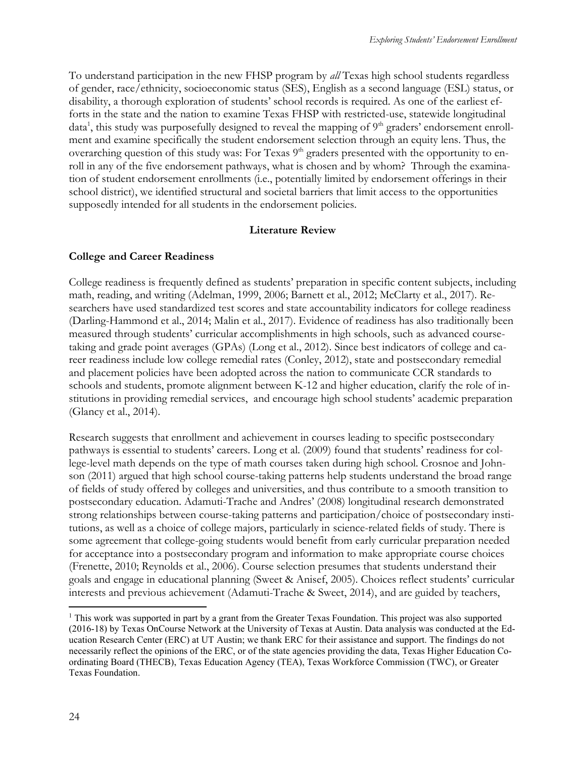To understand participation in the new FHSP program by *all* Texas high school students regardless of gender, race/ethnicity, socioeconomic status (SES), English as a second language (ESL) status, or disability, a thorough exploration of students' school records is required. As one of the earliest efforts in the state and the nation to examine Texas FHSP with restricted-use, statewide longitudinal data<sup>1</sup>, this study was purposefully designed to reveal the mapping of 9<sup>th</sup> graders' endorsement enrollment and examine specifically the student endorsement selection through an equity lens. Thus, the overarching question of this study was: For Texas 9<sup>th</sup> graders presented with the opportunity to enroll in any of the five endorsement pathways, what is chosen and by whom? Through the examination of student endorsement enrollments (i.e., potentially limited by endorsement offerings in their school district), we identified structural and societal barriers that limit access to the opportunities supposedly intended for all students in the endorsement policies.

## **Literature Review**

## **College and Career Readiness**

College readiness is frequently defined as students' preparation in specific content subjects, including math, reading, and writing (Adelman, 1999, 2006; Barnett et al., 2012; McClarty et al., 2017). Researchers have used standardized test scores and state accountability indicators for college readiness (Darling-Hammond et al., 2014; Malin et al., 2017). Evidence of readiness has also traditionally been measured through students' curricular accomplishments in high schools, such as advanced coursetaking and grade point averages (GPAs) (Long et al., 2012). Since best indicators of college and career readiness include low college remedial rates (Conley, 2012), state and postsecondary remedial and placement policies have been adopted across the nation to communicate CCR standards to schools and students, promote alignment between K-12 and higher education, clarify the role of institutions in providing remedial services, and encourage high school students' academic preparation (Glancy et al., 2014).

Research suggests that enrollment and achievement in courses leading to specific postsecondary pathways is essential to students' careers. Long et al. (2009) found that students' readiness for college-level math depends on the type of math courses taken during high school. Crosnoe and Johnson (2011) argued that high school course-taking patterns help students understand the broad range of fields of study offered by colleges and universities, and thus contribute to a smooth transition to postsecondary education. Adamuti-Trache and Andres' (2008) longitudinal research demonstrated strong relationships between course-taking patterns and participation/choice of postsecondary institutions, as well as a choice of college majors, particularly in science-related fields of study. There is some agreement that college-going students would benefit from early curricular preparation needed for acceptance into a postsecondary program and information to make appropriate course choices (Frenette, 2010; Reynolds et al., 2006). Course selection presumes that students understand their goals and engage in educational planning (Sweet & Anisef, 2005). Choices reflect students' curricular interests and previous achievement (Adamuti-Trache & Sweet, 2014), and are guided by teachers,

<sup>1</sup> This work was supported in part by a grant from the Greater Texas Foundation. This project was also supported (2016-18) by Texas OnCourse Network at the University of Texas at Austin. Data analysis was conducted at the Education Research Center (ERC) at UT Austin; we thank ERC for their assistance and support. The findings do not necessarily reflect the opinions of the ERC, or of the state agencies providing the data, Texas Higher Education Coordinating Board (THECB), Texas Education Agency (TEA), Texas Workforce Commission (TWC), or Greater Texas Foundation.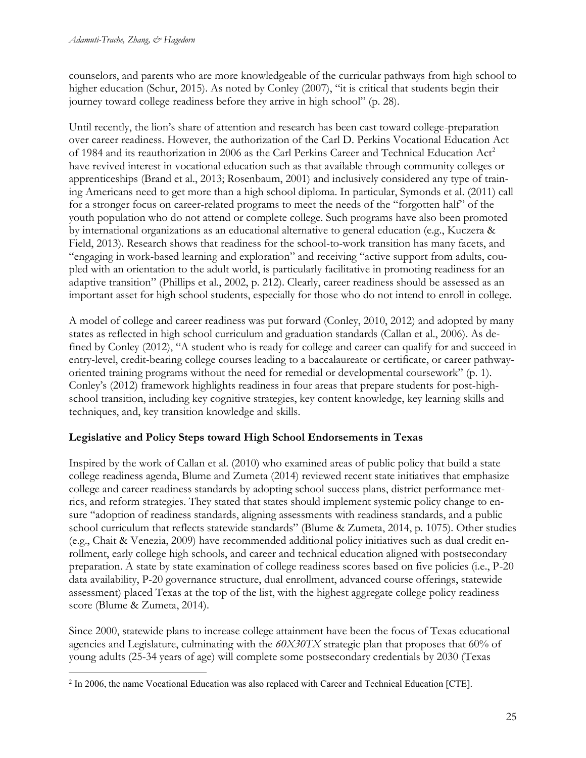counselors, and parents who are more knowledgeable of the curricular pathways from high school to higher education (Schur, 2015). As noted by Conley (2007), "it is critical that students begin their journey toward college readiness before they arrive in high school" (p. 28).

Until recently, the lion's share of attention and research has been cast toward college-preparation over career readiness. However, the authorization of the Carl D. Perkins Vocational Education Act of 1984 and its reauthorization in 2006 as the Carl Perkins Career and Technical Education Act<sup>2</sup> have revived interest in vocational education such as that available through community colleges or apprenticeships (Brand et al., 2013; Rosenbaum, 2001) and inclusively considered any type of training Americans need to get more than a high school diploma. In particular, Symonds et al. (2011) call for a stronger focus on career-related programs to meet the needs of the "forgotten half" of the youth population who do not attend or complete college. Such programs have also been promoted by international organizations as an educational alternative to general education (e.g., Kuczera & Field, 2013). Research shows that readiness for the school-to-work transition has many facets, and "engaging in work-based learning and exploration" and receiving "active support from adults, coupled with an orientation to the adult world, is particularly facilitative in promoting readiness for an adaptive transition" (Phillips et al., 2002, p. 212). Clearly, career readiness should be assessed as an important asset for high school students, especially for those who do not intend to enroll in college.

A model of college and career readiness was put forward (Conley, 2010, 2012) and adopted by many states as reflected in high school curriculum and graduation standards (Callan et al., 2006). As defined by Conley (2012), "A student who is ready for college and career can qualify for and succeed in entry-level, credit-bearing college courses leading to a baccalaureate or certificate, or career pathwayoriented training programs without the need for remedial or developmental coursework" (p. 1). Conley's (2012) framework highlights readiness in four areas that prepare students for post-highschool transition, including key cognitive strategies, key content knowledge, key learning skills and techniques, and, key transition knowledge and skills.

## **Legislative and Policy Steps toward High School Endorsements in Texas**

Inspired by the work of Callan et al. (2010) who examined areas of public policy that build a state college readiness agenda, Blume and Zumeta (2014) reviewed recent state initiatives that emphasize college and career readiness standards by adopting school success plans, district performance metrics, and reform strategies. They stated that states should implement systemic policy change to ensure "adoption of readiness standards, aligning assessments with readiness standards, and a public school curriculum that reflects statewide standards" (Blume & Zumeta, 2014, p. 1075). Other studies (e.g., Chait & Venezia, 2009) have recommended additional policy initiatives such as dual credit enrollment, early college high schools, and career and technical education aligned with postsecondary preparation. A state by state examination of college readiness scores based on five policies (i.e., P-20 data availability, P-20 governance structure, dual enrollment, advanced course offerings, statewide assessment) placed Texas at the top of the list, with the highest aggregate college policy readiness score (Blume & Zumeta, 2014).

Since 2000, statewide plans to increase college attainment have been the focus of Texas educational agencies and Legislature, culminating with the *60X30TX* strategic plan that proposes that 60% of young adults (25-34 years of age) will complete some postsecondary credentials by 2030 (Texas

<sup>&</sup>lt;sup>2</sup> In 2006, the name Vocational Education was also replaced with Career and Technical Education [CTE].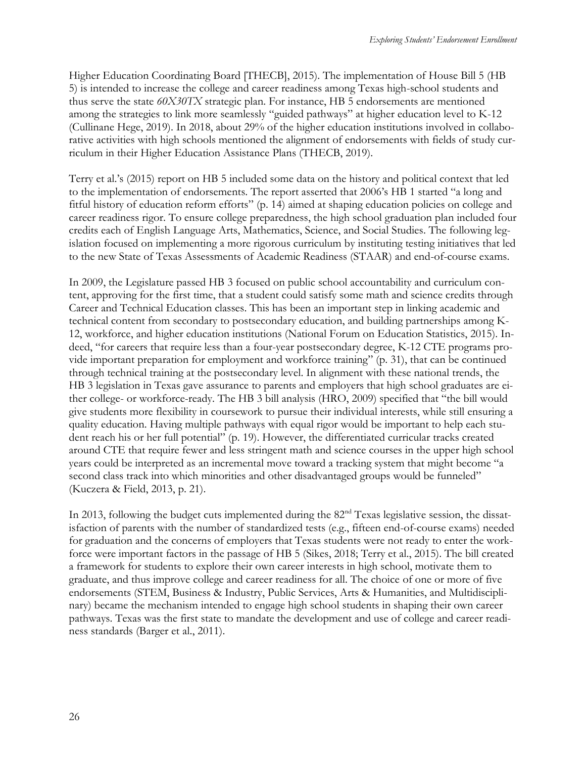Higher Education Coordinating Board [THECB], 2015). The implementation of House Bill 5 (HB 5) is intended to increase the college and career readiness among Texas high-school students and thus serve the state *60X30TX* strategic plan. For instance, HB 5 endorsements are mentioned among the strategies to link more seamlessly "guided pathways" at higher education level to K-12 (Cullinane Hege, 2019). In 2018, about 29% of the higher education institutions involved in collaborative activities with high schools mentioned the alignment of endorsements with fields of study curriculum in their Higher Education Assistance Plans (THECB, 2019).

Terry et al.'s (2015) report on HB 5 included some data on the history and political context that led to the implementation of endorsements. The report asserted that 2006's HB 1 started "a long and fitful history of education reform efforts" (p. 14) aimed at shaping education policies on college and career readiness rigor. To ensure college preparedness, the high school graduation plan included four credits each of English Language Arts, Mathematics, Science, and Social Studies. The following legislation focused on implementing a more rigorous curriculum by instituting testing initiatives that led to the new State of Texas Assessments of Academic Readiness (STAAR) and end-of-course exams.

In 2009, the Legislature passed HB 3 focused on public school accountability and curriculum content, approving for the first time, that a student could satisfy some math and science credits through Career and Technical Education classes. This has been an important step in linking academic and technical content from secondary to postsecondary education, and building partnerships among K-12, workforce, and higher education institutions (National Forum on Education Statistics, 2015). Indeed, "for careers that require less than a four-year postsecondary degree, K-12 CTE programs provide important preparation for employment and workforce training" (p. 31), that can be continued through technical training at the postsecondary level. In alignment with these national trends, the HB 3 legislation in Texas gave assurance to parents and employers that high school graduates are either college- or workforce-ready. The HB 3 bill analysis (HRO, 2009) specified that "the bill would give students more flexibility in coursework to pursue their individual interests, while still ensuring a quality education. Having multiple pathways with equal rigor would be important to help each student reach his or her full potential" (p. 19). However, the differentiated curricular tracks created around CTE that require fewer and less stringent math and science courses in the upper high school years could be interpreted as an incremental move toward a tracking system that might become "a second class track into which minorities and other disadvantaged groups would be funneled" (Kuczera & Field, 2013, p. 21).

In 2013, following the budget cuts implemented during the 82<sup>nd</sup> Texas legislative session, the dissatisfaction of parents with the number of standardized tests (e.g., fifteen end-of-course exams) needed for graduation and the concerns of employers that Texas students were not ready to enter the workforce were important factors in the passage of HB 5 (Sikes, 2018; Terry et al., 2015). The bill created a framework for students to explore their own career interests in high school, motivate them to graduate, and thus improve college and career readiness for all. The choice of one or more of five endorsements (STEM, Business & Industry, Public Services, Arts & Humanities, and Multidisciplinary) became the mechanism intended to engage high school students in shaping their own career pathways. Texas was the first state to mandate the development and use of college and career readiness standards (Barger et al., 2011).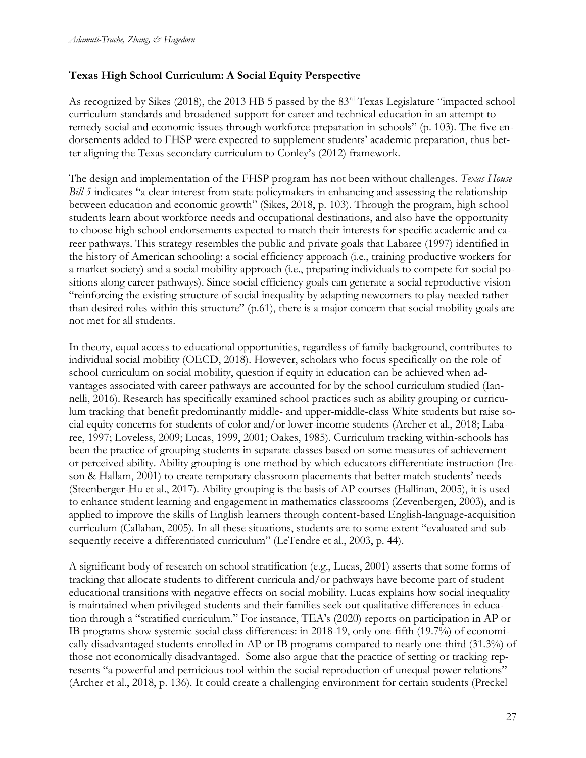## **Texas High School Curriculum: A Social Equity Perspective**

As recognized by Sikes (2018), the 2013 HB 5 passed by the 83rd Texas Legislature "impacted school curriculum standards and broadened support for career and technical education in an attempt to remedy social and economic issues through workforce preparation in schools" (p. 103). The five endorsements added to FHSP were expected to supplement students' academic preparation, thus better aligning the Texas secondary curriculum to Conley's (2012) framework.

The design and implementation of the FHSP program has not been without challenges. *Texas House Bill 5* indicates "a clear interest from state policymakers in enhancing and assessing the relationship between education and economic growth" (Sikes, 2018, p. 103). Through the program, high school students learn about workforce needs and occupational destinations, and also have the opportunity to choose high school endorsements expected to match their interests for specific academic and career pathways. This strategy resembles the public and private goals that Labaree (1997) identified in the history of American schooling: a social efficiency approach (i.e., training productive workers for a market society) and a social mobility approach (i.e., preparing individuals to compete for social positions along career pathways). Since social efficiency goals can generate a social reproductive vision "reinforcing the existing structure of social inequality by adapting newcomers to play needed rather than desired roles within this structure" (p.61), there is a major concern that social mobility goals are not met for all students.

In theory, equal access to educational opportunities, regardless of family background, contributes to individual social mobility (OECD, 2018). However, scholars who focus specifically on the role of school curriculum on social mobility, question if equity in education can be achieved when advantages associated with career pathways are accounted for by the school curriculum studied (Iannelli, 2016). Research has specifically examined school practices such as ability grouping or curriculum tracking that benefit predominantly middle- and upper-middle-class White students but raise social equity concerns for students of color and/or lower-income students (Archer et al., 2018; Labaree, 1997; Loveless, 2009; Lucas, 1999, 2001; Oakes, 1985). Curriculum tracking within-schools has been the practice of grouping students in separate classes based on some measures of achievement or perceived ability. Ability grouping is one method by which educators differentiate instruction (Ireson & Hallam, 2001) to create temporary classroom placements that better match students' needs (Steenberger-Hu et al., 2017). Ability grouping is the basis of AP courses (Hallinan, 2005), it is used to enhance student learning and engagement in mathematics classrooms (Zevenbergen, 2003), and is applied to improve the skills of English learners through content-based English-language-acquisition curriculum (Callahan, 2005). In all these situations, students are to some extent "evaluated and subsequently receive a differentiated curriculum" (LeTendre et al., 2003, p. 44).

A significant body of research on school stratification (e.g., Lucas, 2001) asserts that some forms of tracking that allocate students to different curricula and/or pathways have become part of student educational transitions with negative effects on social mobility. Lucas explains how social inequality is maintained when privileged students and their families seek out qualitative differences in education through a "stratified curriculum." For instance, TEA's (2020) reports on participation in AP or IB programs show systemic social class differences: in 2018-19, only one-fifth (19.7%) of economically disadvantaged students enrolled in AP or IB programs compared to nearly one-third (31.3%) of those not economically disadvantaged. Some also argue that the practice of setting or tracking represents "a powerful and pernicious tool within the social reproduction of unequal power relations" (Archer et al., 2018, p. 136). It could create a challenging environment for certain students (Preckel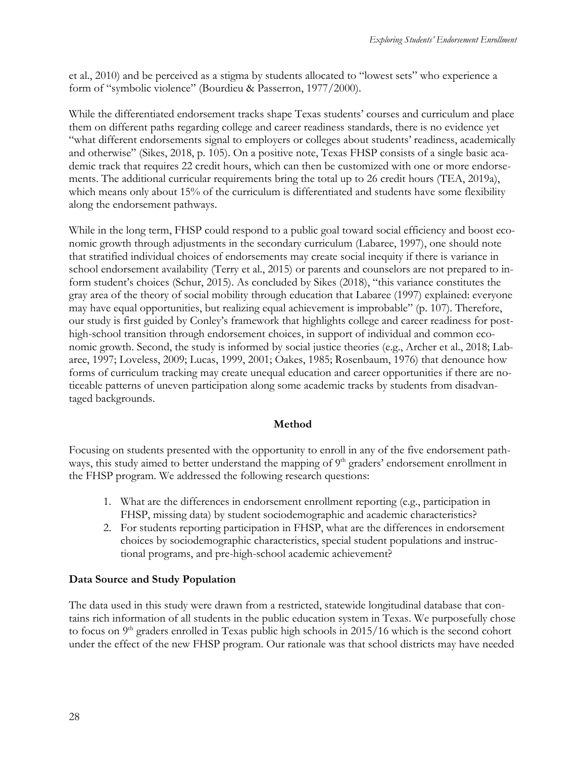et al., 2010) and be perceived as a stigma by students allocated to "lowest sets" who experience a form of "symbolic violence" (Bourdieu & Passerron, 1977/2000).

While the differentiated endorsement tracks shape Texas students' courses and curriculum and place them on different paths regarding college and career readiness standards, there is no evidence yet "what different endorsements signal to employers or colleges about students' readiness, academically and otherwise" (Sikes, 2018, p. 105). On a positive note, Texas FHSP consists of a single basic academic track that requires 22 credit hours, which can then be customized with one or more endorsements. The additional curricular requirements bring the total up to 26 credit hours (TEA, 2019a), which means only about 15% of the curriculum is differentiated and students have some flexibility along the endorsement pathways.

While in the long term, FHSP could respond to a public goal toward social efficiency and boost economic growth through adjustments in the secondary curriculum (Labaree, 1997), one should note that stratified individual choices of endorsements may create social inequity if there is variance in school endorsement availability (Terry et al., 2015) or parents and counselors are not prepared to inform student's choices (Schur, 2015). As concluded by Sikes (2018), "this variance constitutes the gray area of the theory of social mobility through education that Labaree (1997) explained: everyone may have equal opportunities, but realizing equal achievement is improbable" (p. 107). Therefore, our study is first guided by Conley's framework that highlights college and career readiness for posthigh-school transition through endorsement choices, in support of individual and common economic growth. Second, the study is informed by social justice theories (e.g., Archer et al., 2018; Labaree, 1997; Loveless, 2009; Lucas, 1999, 2001; Oakes, 1985; Rosenbaum, 1976) that denounce how forms of curriculum tracking may create unequal education and career opportunities if there are noticeable patterns of uneven participation along some academic tracks by students from disadvantaged backgrounds.

## **Method**

Focusing on students presented with the opportunity to enroll in any of the five endorsement pathways, this study aimed to better understand the mapping of 9<sup>th</sup> graders' endorsement enrollment in the FHSP program. We addressed the following research questions:

- 1. What are the differences in endorsement enrollment reporting (e.g., participation in FHSP, missing data) by student sociodemographic and academic characteristics?
- 2. For students reporting participation in FHSP, what are the differences in endorsement choices by sociodemographic characteristics, special student populations and instructional programs, and pre-high-school academic achievement?

## **Data Source and Study Population**

The data used in this study were drawn from a restricted, statewide longitudinal database that contains rich information of all students in the public education system in Texas. We purposefully chose to focus on 9<sup>th</sup> graders enrolled in Texas public high schools in 2015/16 which is the second cohort under the effect of the new FHSP program. Our rationale was that school districts may have needed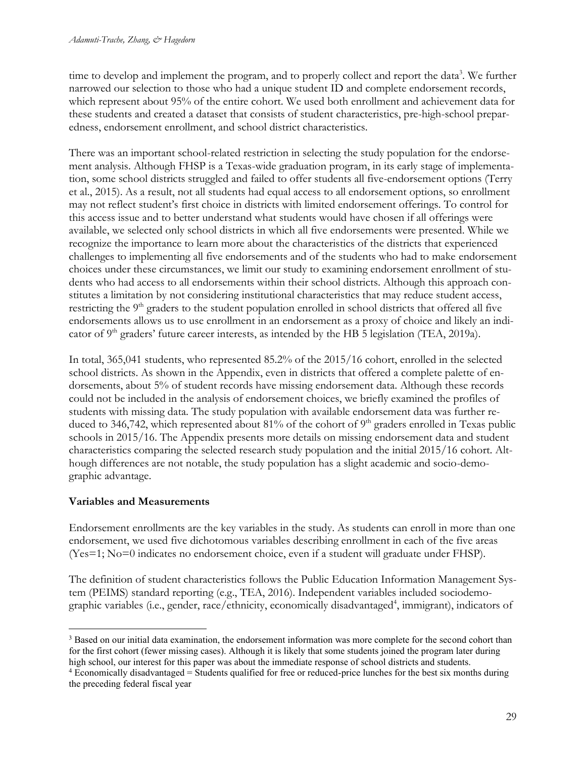time to develop and implement the program, and to properly collect and report the data<sup>3</sup>. We further narrowed our selection to those who had a unique student ID and complete endorsement records, which represent about 95% of the entire cohort. We used both enrollment and achievement data for these students and created a dataset that consists of student characteristics, pre-high-school preparedness, endorsement enrollment, and school district characteristics.

There was an important school-related restriction in selecting the study population for the endorsement analysis. Although FHSP is a Texas-wide graduation program, in its early stage of implementation, some school districts struggled and failed to offer students all five-endorsement options (Terry et al., 2015). As a result, not all students had equal access to all endorsement options, so enrollment may not reflect student's first choice in districts with limited endorsement offerings. To control for this access issue and to better understand what students would have chosen if all offerings were available, we selected only school districts in which all five endorsements were presented. While we recognize the importance to learn more about the characteristics of the districts that experienced challenges to implementing all five endorsements and of the students who had to make endorsement choices under these circumstances, we limit our study to examining endorsement enrollment of students who had access to all endorsements within their school districts. Although this approach constitutes a limitation by not considering institutional characteristics that may reduce student access, restricting the 9<sup>th</sup> graders to the student population enrolled in school districts that offered all five endorsements allows us to use enrollment in an endorsement as a proxy of choice and likely an indicator of  $9<sup>th</sup>$  graders' future career interests, as intended by the HB 5 legislation (TEA, 2019a).

In total, 365,041 students, who represented 85.2% of the 2015/16 cohort, enrolled in the selected school districts. As shown in the Appendix, even in districts that offered a complete palette of endorsements, about 5% of student records have missing endorsement data. Although these records could not be included in the analysis of endorsement choices, we briefly examined the profiles of students with missing data. The study population with available endorsement data was further reduced to 346,742, which represented about 81% of the cohort of 9<sup>th</sup> graders enrolled in Texas public schools in 2015/16. The Appendix presents more details on missing endorsement data and student characteristics comparing the selected research study population and the initial 2015/16 cohort. Although differences are not notable, the study population has a slight academic and socio-demographic advantage.

## **Variables and Measurements**

Endorsement enrollments are the key variables in the study. As students can enroll in more than one endorsement, we used five dichotomous variables describing enrollment in each of the five areas (Yes=1; No=0 indicates no endorsement choice, even if a student will graduate under FHSP).

The definition of student characteristics follows the Public Education Information Management System (PEIMS) standard reporting (e.g., TEA, 2016). Independent variables included sociodemographic variables (i.e., gender, race/ethnicity, economically disadvantaged<sup>4</sup>, immigrant), indicators of

<sup>&</sup>lt;sup>3</sup> Based on our initial data examination, the endorsement information was more complete for the second cohort than for the first cohort (fewer missing cases). Although it is likely that some students joined the program later during high school, our interest for this paper was about the immediate response of school districts and students.

<sup>4</sup> Economically disadvantaged = Students qualified for free or reduced-price lunches for the best six months during the preceding federal fiscal year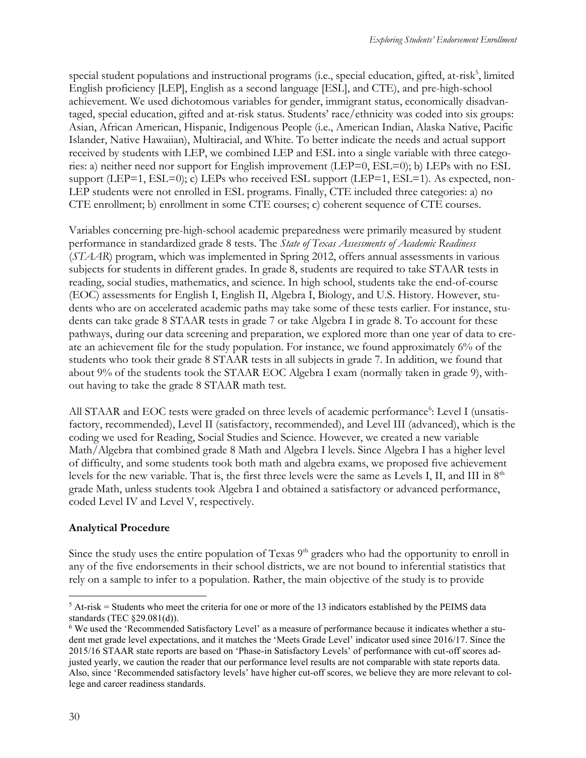special student populations and instructional programs (i.e., special education, gifted, at-risk<sup>5</sup>, limited English proficiency [LEP], English as a second language [ESL], and CTE), and pre-high-school achievement. We used dichotomous variables for gender, immigrant status, economically disadvantaged, special education, gifted and at-risk status. Students' race/ethnicity was coded into six groups: Asian, African American, Hispanic, Indigenous People (i.e., American Indian, Alaska Native, Pacific Islander, Native Hawaiian), Multiracial, and White. To better indicate the needs and actual support received by students with LEP, we combined LEP and ESL into a single variable with three categories: a) neither need nor support for English improvement (LEP=0, ESL=0); b) LEPs with no ESL support (LEP=1, ESL=0); c) LEPs who received ESL support (LEP=1, ESL=1). As expected, non-LEP students were not enrolled in ESL programs. Finally, CTE included three categories: a) no CTE enrollment; b) enrollment in some CTE courses; c) coherent sequence of CTE courses.

Variables concerning pre-high-school academic preparedness were primarily measured by student performance in standardized grade 8 tests. The *State of Texas Assessments of Academic Readiness* (*STAAR*) program, which was implemented in Spring 2012, offers annual assessments in various subjects for students in different grades. In grade 8, students are required to take STAAR tests in reading, social studies, mathematics, and science. In high school, students take the end-of-course (EOC) assessments for English I, English II, Algebra I, Biology, and U.S. History. However, students who are on accelerated academic paths may take some of these tests earlier. For instance, students can take grade 8 STAAR tests in grade 7 or take Algebra I in grade 8. To account for these pathways, during our data screening and preparation, we explored more than one year of data to create an achievement file for the study population. For instance, we found approximately 6% of the students who took their grade 8 STAAR tests in all subjects in grade 7. In addition, we found that about 9% of the students took the STAAR EOC Algebra I exam (normally taken in grade 9), without having to take the grade 8 STAAR math test.

All STAAR and EOC tests were graded on three levels of academic performance<sup>6</sup>: Level I (unsatisfactory, recommended), Level II (satisfactory, recommended), and Level III (advanced), which is the coding we used for Reading, Social Studies and Science. However, we created a new variable Math/Algebra that combined grade 8 Math and Algebra I levels. Since Algebra I has a higher level of difficulty, and some students took both math and algebra exams, we proposed five achievement levels for the new variable. That is, the first three levels were the same as Levels I, II, and III in 8<sup>th</sup> grade Math, unless students took Algebra I and obtained a satisfactory or advanced performance, coded Level IV and Level V, respectively.

## **Analytical Procedure**

Since the study uses the entire population of Texas  $9<sup>th</sup>$  graders who had the opportunity to enroll in any of the five endorsements in their school districts, we are not bound to inferential statistics that rely on a sample to infer to a population. Rather, the main objective of the study is to provide

 $5$  At-risk = Students who meet the criteria for one or more of the 13 indicators established by the PEIMS data standards (TEC §29.081(d)).

<sup>6</sup> We used the 'Recommended Satisfactory Level' as a measure of performance because it indicates whether a student met grade level expectations, and it matches the 'Meets Grade Level' indicator used since 2016/17. Since the 2015/16 STAAR state reports are based on 'Phase-in Satisfactory Levels' of performance with cut-off scores adjusted yearly, we caution the reader that our performance level results are not comparable with state reports data. Also, since 'Recommended satisfactory levels' have higher cut-off scores, we believe they are more relevant to college and career readiness standards.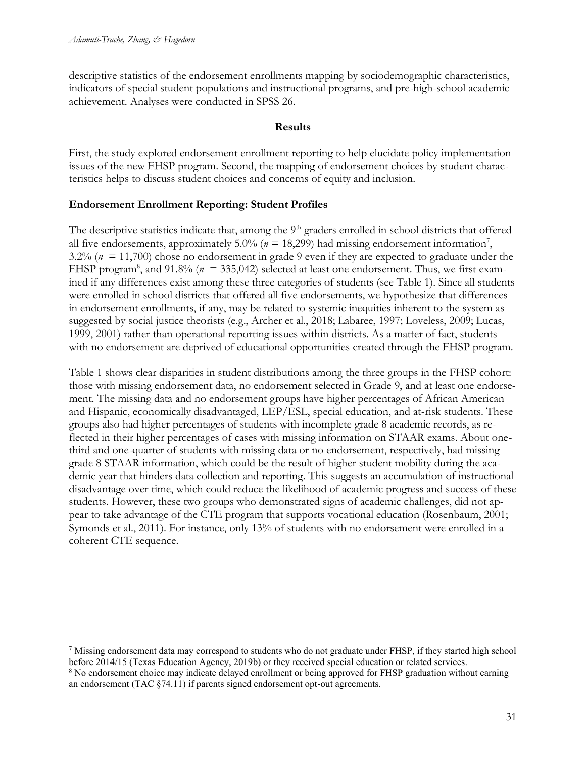descriptive statistics of the endorsement enrollments mapping by sociodemographic characteristics, indicators of special student populations and instructional programs, and pre-high-school academic achievement. Analyses were conducted in SPSS 26.

#### **Results**

First, the study explored endorsement enrollment reporting to help elucidate policy implementation issues of the new FHSP program. Second, the mapping of endorsement choices by student characteristics helps to discuss student choices and concerns of equity and inclusion.

## **Endorsement Enrollment Reporting: Student Profiles**

The descriptive statistics indicate that, among the 9<sup>th</sup> graders enrolled in school districts that offered all five endorsements, approximately 5.0% ( $n = 18,299$ ) had missing endorsement information<sup>7</sup>, 3.2% (*n* = 11,700) chose no endorsement in grade 9 even if they are expected to graduate under the FHSP program<sup>8</sup>, and 91.8% ( $n = 335,042$ ) selected at least one endorsement. Thus, we first examined if any differences exist among these three categories of students (see Table 1). Since all students were enrolled in school districts that offered all five endorsements, we hypothesize that differences in endorsement enrollments, if any, may be related to systemic inequities inherent to the system as suggested by social justice theorists (e.g., Archer et al., 2018; Labaree, 1997; Loveless, 2009; Lucas, 1999, 2001) rather than operational reporting issues within districts. As a matter of fact, students with no endorsement are deprived of educational opportunities created through the FHSP program.

Table 1 shows clear disparities in student distributions among the three groups in the FHSP cohort: those with missing endorsement data, no endorsement selected in Grade 9, and at least one endorsement. The missing data and no endorsement groups have higher percentages of African American and Hispanic, economically disadvantaged, LEP/ESL, special education, and at-risk students. These groups also had higher percentages of students with incomplete grade 8 academic records, as reflected in their higher percentages of cases with missing information on STAAR exams. About onethird and one-quarter of students with missing data or no endorsement, respectively, had missing grade 8 STAAR information, which could be the result of higher student mobility during the academic year that hinders data collection and reporting. This suggests an accumulation of instructional disadvantage over time, which could reduce the likelihood of academic progress and success of these students. However, these two groups who demonstrated signs of academic challenges, did not appear to take advantage of the CTE program that supports vocational education (Rosenbaum, 2001; Symonds et al., 2011). For instance, only 13% of students with no endorsement were enrolled in a coherent CTE sequence.

<sup>7</sup> Missing endorsement data may correspond to students who do not graduate under FHSP, if they started high school before 2014/15 (Texas Education Agency, 2019b) or they received special education or related services.

<sup>&</sup>lt;sup>8</sup> No endorsement choice may indicate delayed enrollment or being approved for FHSP graduation without earning an endorsement (TAC §74.11) if parents signed endorsement opt-out agreements.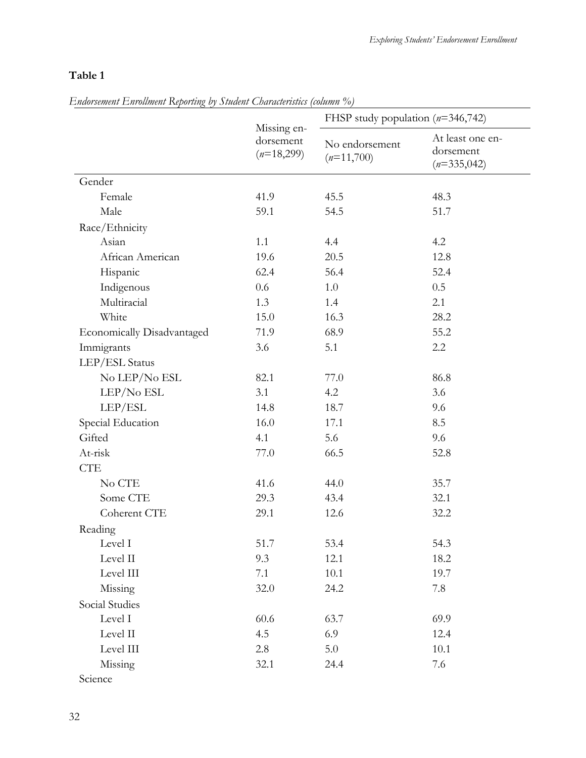## **Table 1**

|  |  | Endorsement Enrollment Reporting by Student Characteristics (column %) |  |
|--|--|------------------------------------------------------------------------|--|
|  |  |                                                                        |  |

| $m$ <i> senson <math>\Box</math></i> nominally $\Omega$ portung by Senson Senson and $\Omega$ |                                          | FHSP study population $(n=346,742)$ |                                                |  |  |
|-----------------------------------------------------------------------------------------------|------------------------------------------|-------------------------------------|------------------------------------------------|--|--|
|                                                                                               | Missing en-<br>dorsement<br>$(n=18,299)$ | No endorsement<br>$(n=11,700)$      | At least one en-<br>dorsement<br>$(n=335,042)$ |  |  |
| Gender                                                                                        |                                          |                                     |                                                |  |  |
| Female                                                                                        | 41.9                                     | 45.5                                | 48.3                                           |  |  |
| Male                                                                                          | 59.1                                     | 54.5                                | 51.7                                           |  |  |
| Race/Ethnicity                                                                                |                                          |                                     |                                                |  |  |
| Asian                                                                                         | 1.1                                      | 4.4                                 | 4.2                                            |  |  |
| African American                                                                              | 19.6                                     | 20.5                                | 12.8                                           |  |  |
| Hispanic                                                                                      | 62.4                                     | 56.4                                | 52.4                                           |  |  |
| Indigenous                                                                                    | 0.6                                      | $1.0\,$                             | 0.5                                            |  |  |
| Multiracial                                                                                   | 1.3                                      | 1.4                                 | 2.1                                            |  |  |
| White                                                                                         | 15.0                                     | 16.3                                | 28.2                                           |  |  |
| <b>Economically Disadvantaged</b>                                                             | 71.9                                     | 68.9                                | 55.2                                           |  |  |
| Immigrants                                                                                    | 3.6                                      | 5.1                                 | 2.2                                            |  |  |
| LEP/ESL Status                                                                                |                                          |                                     |                                                |  |  |
| No LEP/No ESL                                                                                 | 82.1                                     | 77.0                                | 86.8                                           |  |  |
| LEP/No ESL                                                                                    | 3.1                                      | 4.2                                 | 3.6                                            |  |  |
| LEP/ESL                                                                                       | 14.8                                     | 18.7                                | 9.6                                            |  |  |
| Special Education                                                                             | 16.0                                     | 17.1                                | 8.5                                            |  |  |
| Gifted                                                                                        | 4.1                                      | 5.6                                 | 9.6                                            |  |  |
| At-risk                                                                                       | 77.0                                     | 66.5                                | 52.8                                           |  |  |
| <b>CTE</b>                                                                                    |                                          |                                     |                                                |  |  |
| No CTE                                                                                        | 41.6                                     | 44.0                                | 35.7                                           |  |  |
| Some CTE                                                                                      | 29.3                                     | 43.4                                | 32.1                                           |  |  |
| Coherent CTE                                                                                  | 29.1                                     | 12.6                                | 32.2                                           |  |  |
| Reading                                                                                       |                                          |                                     |                                                |  |  |
| Level I                                                                                       | 51.7                                     | 53.4                                | 54.3                                           |  |  |
| Level II                                                                                      | 9.3                                      | 12.1                                | 18.2                                           |  |  |
| Level III                                                                                     | 7.1                                      | 10.1                                | 19.7                                           |  |  |
| Missing                                                                                       | 32.0                                     | 24.2                                | 7.8                                            |  |  |
| Social Studies                                                                                |                                          |                                     |                                                |  |  |
| Level I                                                                                       | 60.6                                     | 63.7                                | 69.9                                           |  |  |
| Level II                                                                                      | 4.5                                      | 6.9                                 | 12.4                                           |  |  |
| Level III                                                                                     | 2.8                                      | 5.0                                 | 10.1                                           |  |  |
| Missing                                                                                       | 32.1                                     | 24.4                                | 7.6                                            |  |  |
| Science                                                                                       |                                          |                                     |                                                |  |  |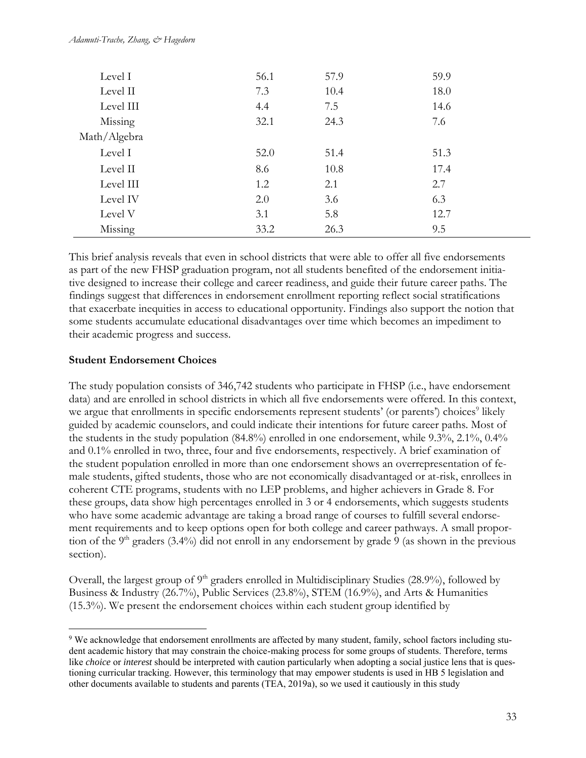#### *Adamuti-Trache, Zhang, & Hagedorn*

| Level I      | 56.1 | 57.9 | 59.9 |  |
|--------------|------|------|------|--|
| Level II     | 7.3  | 10.4 | 18.0 |  |
| Level III    | 4.4  | 7.5  | 14.6 |  |
| Missing      | 32.1 | 24.3 | 7.6  |  |
| Math/Algebra |      |      |      |  |
| Level I      | 52.0 | 51.4 | 51.3 |  |
| Level II     | 8.6  | 10.8 | 17.4 |  |
| Level III    | 1.2  | 2.1  | 2.7  |  |
| Level IV     | 2.0  | 3.6  | 6.3  |  |
| Level V      | 3.1  | 5.8  | 12.7 |  |
| Missing      | 33.2 | 26.3 | 9.5  |  |

This brief analysis reveals that even in school districts that were able to offer all five endorsements as part of the new FHSP graduation program, not all students benefited of the endorsement initiative designed to increase their college and career readiness, and guide their future career paths. The findings suggest that differences in endorsement enrollment reporting reflect social stratifications that exacerbate inequities in access to educational opportunity. Findings also support the notion that some students accumulate educational disadvantages over time which becomes an impediment to their academic progress and success.

## **Student Endorsement Choices**

The study population consists of 346,742 students who participate in FHSP (i.e., have endorsement data) and are enrolled in school districts in which all five endorsements were offered. In this context, we argue that enrollments in specific endorsements represent students' (or parents') choices<sup>9</sup> likely guided by academic counselors, and could indicate their intentions for future career paths. Most of the students in the study population (84.8%) enrolled in one endorsement, while 9.3%, 2.1%, 0.4% and 0.1% enrolled in two, three, four and five endorsements, respectively. A brief examination of the student population enrolled in more than one endorsement shows an overrepresentation of female students, gifted students, those who are not economically disadvantaged or at-risk, enrollees in coherent CTE programs, students with no LEP problems, and higher achievers in Grade 8. For these groups, data show high percentages enrolled in 3 or 4 endorsements, which suggests students who have some academic advantage are taking a broad range of courses to fulfill several endorsement requirements and to keep options open for both college and career pathways. A small proportion of the 9<sup>th</sup> graders (3.4%) did not enroll in any endorsement by grade 9 (as shown in the previous section).

Overall, the largest group of 9<sup>th</sup> graders enrolled in Multidisciplinary Studies (28.9%), followed by Business & Industry (26.7%), Public Services (23.8%), STEM (16.9%), and Arts & Humanities (15.3%). We present the endorsement choices within each student group identified by

<sup>9</sup> We acknowledge that endorsement enrollments are affected by many student, family, school factors including student academic history that may constrain the choice-making process for some groups of students. Therefore, terms like *choice* or *interest* should be interpreted with caution particularly when adopting a social justice lens that is questioning curricular tracking. However, this terminology that may empower students is used in HB 5 legislation and other documents available to students and parents (TEA, 2019a), so we used it cautiously in this study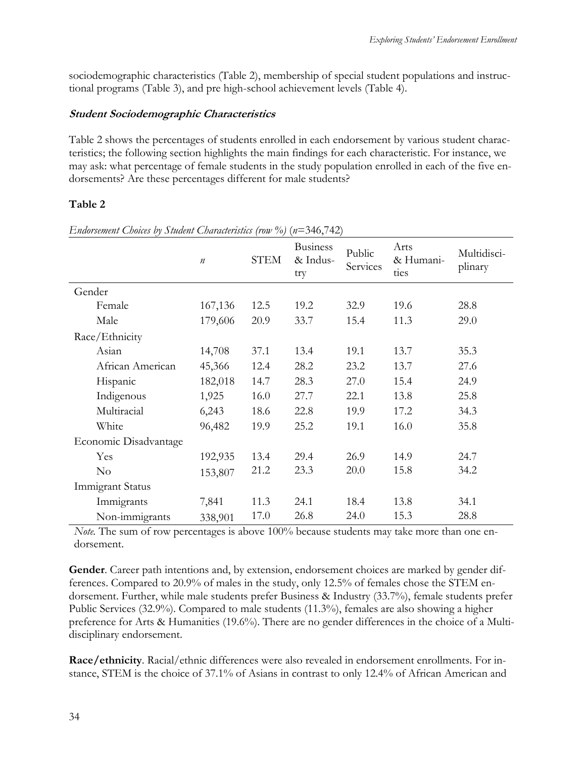sociodemographic characteristics (Table 2), membership of special student populations and instructional programs (Table 3), and pre high-school achievement levels (Table 4).

## **Student Sociodemographic Characteristics**

Table 2 shows the percentages of students enrolled in each endorsement by various student characteristics; the following section highlights the main findings for each characteristic. For instance, we may ask: what percentage of female students in the study population enrolled in each of the five endorsements? Are these percentages different for male students?

## **Table 2**

|                       | $\boldsymbol{n}$ | <b>STEM</b> | <b>Business</b><br>& Indus-<br>try | Public<br>Services | Arts<br>& Humani-<br>ties | Multidisci-<br>plinary |
|-----------------------|------------------|-------------|------------------------------------|--------------------|---------------------------|------------------------|
| Gender                |                  |             |                                    |                    |                           |                        |
| Female                | 167,136          | 12.5        | 19.2                               | 32.9               | 19.6                      | 28.8                   |
| Male                  | 179,606          | 20.9        | 33.7                               | 15.4               | 11.3                      | 29.0                   |
| Race/Ethnicity        |                  |             |                                    |                    |                           |                        |
| Asian                 | 14,708           | 37.1        | 13.4                               | 19.1               | 13.7                      | 35.3                   |
| African American      | 45,366           | 12.4        | 28.2                               | 23.2               | 13.7                      | 27.6                   |
| Hispanic              | 182,018          | 14.7        | 28.3                               | 27.0               | 15.4                      | 24.9                   |
| Indigenous            | 1,925            | 16.0        | 27.7                               | 22.1               | 13.8                      | 25.8                   |
| Multiracial           | 6,243            | 18.6        | 22.8                               | 19.9               | 17.2                      | 34.3                   |
| White                 | 96,482           | 19.9        | 25.2                               | 19.1               | 16.0                      | 35.8                   |
| Economic Disadvantage |                  |             |                                    |                    |                           |                        |
| Yes                   | 192,935          | 13.4        | 29.4                               | 26.9               | 14.9                      | 24.7                   |
| $\rm No$              | 153,807          | 21.2        | 23.3                               | 20.0               | 15.8                      | 34.2                   |
| Immigrant Status      |                  |             |                                    |                    |                           |                        |
| Immigrants            | 7,841            | 11.3        | 24.1                               | 18.4               | 13.8                      | 34.1                   |
| Non-immigrants        | 338,901          | 17.0        | 26.8                               | 24.0               | 15.3                      | 28.8                   |

*Endorsement Choices by Student Characteristics (row %)* (*n*=346,742)

*Note.* The sum of row percentages is above 100% because students may take more than one endorsement.

**Gender**. Career path intentions and, by extension, endorsement choices are marked by gender differences. Compared to 20.9% of males in the study, only 12.5% of females chose the STEM endorsement. Further, while male students prefer Business & Industry (33.7%), female students prefer Public Services (32.9%). Compared to male students (11.3%), females are also showing a higher preference for Arts & Humanities (19.6%). There are no gender differences in the choice of a Multidisciplinary endorsement.

**Race/ethnicity**. Racial/ethnic differences were also revealed in endorsement enrollments. For instance, STEM is the choice of 37.1% of Asians in contrast to only 12.4% of African American and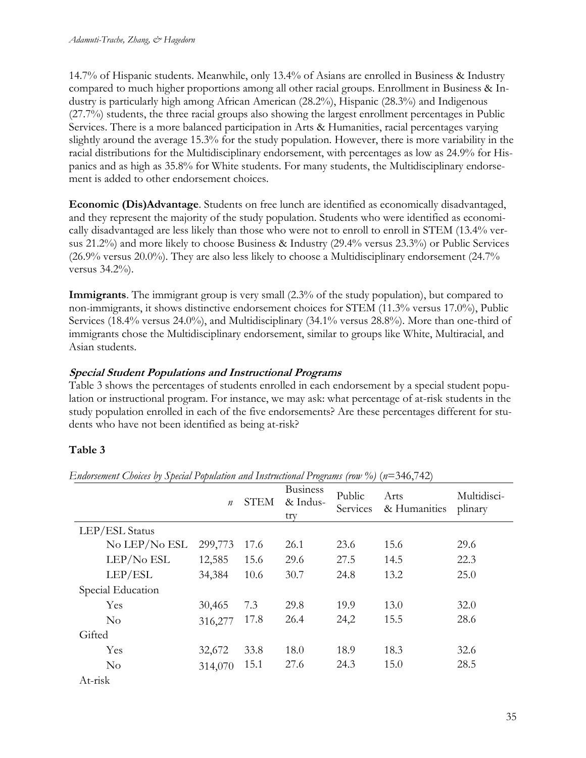14.7% of Hispanic students. Meanwhile, only 13.4% of Asians are enrolled in Business & Industry compared to much higher proportions among all other racial groups. Enrollment in Business & Industry is particularly high among African American (28.2%), Hispanic (28.3%) and Indigenous (27.7%) students, the three racial groups also showing the largest enrollment percentages in Public Services. There is a more balanced participation in Arts & Humanities, racial percentages varying slightly around the average 15.3% for the study population. However, there is more variability in the racial distributions for the Multidisciplinary endorsement, with percentages as low as 24.9% for Hispanics and as high as 35.8% for White students. For many students, the Multidisciplinary endorsement is added to other endorsement choices.

**Economic (Dis)Advantage**. Students on free lunch are identified as economically disadvantaged, and they represent the majority of the study population. Students who were identified as economically disadvantaged are less likely than those who were not to enroll to enroll in STEM (13.4% versus 21.2%) and more likely to choose Business & Industry (29.4% versus 23.3%) or Public Services (26.9% versus 20.0%). They are also less likely to choose a Multidisciplinary endorsement (24.7% versus 34.2%).

**Immigrants**. The immigrant group is very small (2.3% of the study population), but compared to non-immigrants, it shows distinctive endorsement choices for STEM (11.3% versus 17.0%), Public Services (18.4% versus 24.0%), and Multidisciplinary (34.1% versus 28.8%). More than one-third of immigrants chose the Multidisciplinary endorsement, similar to groups like White, Multiracial, and Asian students.

## **Special Student Populations and Instructional Programs**

Table 3 shows the percentages of students enrolled in each endorsement by a special student population or instructional program. For instance, we may ask: what percentage of at-risk students in the study population enrolled in each of the five endorsements? Are these percentages different for students who have not been identified as being at-risk?

## **Table 3**

|                   | $\boldsymbol{n}$ | <b>STEM</b> | <b>Business</b><br>& Indus-<br>try | Public<br>Services | Arts<br>& Humanities | Multidisci-<br>plinary |
|-------------------|------------------|-------------|------------------------------------|--------------------|----------------------|------------------------|
| LEP/ESL Status    |                  |             |                                    |                    |                      |                        |
| No LEP/No ESL     | 299,773          | 17.6        | 26.1                               | 23.6               | 15.6                 | 29.6                   |
| LEP/No ESL        | 12,585           | 15.6        | 29.6                               | 27.5               | 14.5                 | 22.3                   |
| LEP/ESL           | 34,384           | 10.6        | 30.7                               | 24.8               | 13.2                 | 25.0                   |
| Special Education |                  |             |                                    |                    |                      |                        |
| Yes               | 30,465           | 7.3         | 29.8                               | 19.9               | 13.0                 | 32.0                   |
| No                | 316,277          | 17.8        | 26.4                               | 24,2               | 15.5                 | 28.6                   |
| Gifted            |                  |             |                                    |                    |                      |                        |
| Yes               | 32,672           | 33.8        | 18.0                               | 18.9               | 18.3                 | 32.6                   |
| $\rm No$          | 314,070          | 15.1        | 27.6                               | 24.3               | 15.0                 | 28.5                   |
| At-risk           |                  |             |                                    |                    |                      |                        |

*Endorsement Choices by Special Population and Instructional Programs (row %)* ( $n=346,742$ )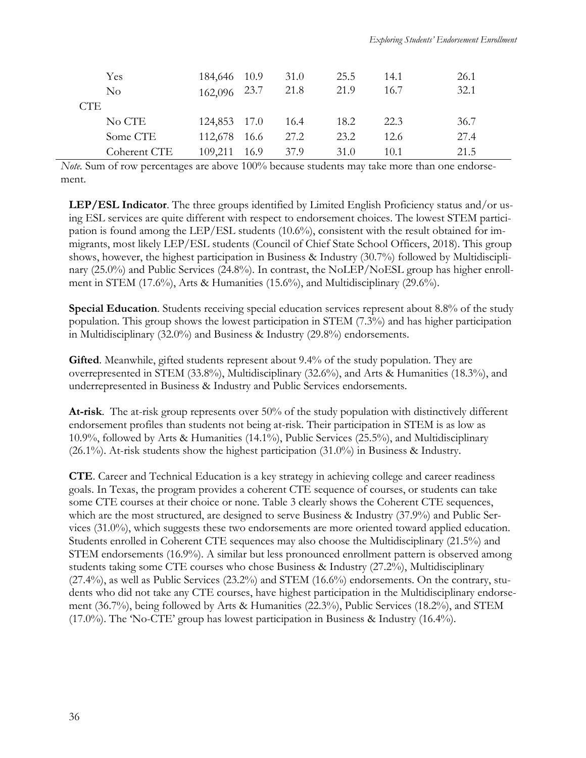| Yes            | 184,646 10.9 | 31.0           | 25.5 | 14.1 | 26.1 |
|----------------|--------------|----------------|------|------|------|
| N <sub>0</sub> | 162,096 23.7 | 21.8           | 21.9 | 16.7 | 32.1 |
| CTE            |              |                |      |      |      |
| No CTE         | 124,853 17.0 | 16.4           | 18.2 | 22.3 | 36.7 |
| Some CTE       | 112,678      | 27.2<br>- 16.6 | 23.2 | 12.6 | 27.4 |
| Coherent CTE   | 109,211 16.9 | 37.9           | 31.0 | 10.1 | 21.5 |

*Note.* Sum of row percentages are above 100% because students may take more than one endorsement.

**LEP/ESL Indicator**. The three groups identified by Limited English Proficiency status and/or using ESL services are quite different with respect to endorsement choices. The lowest STEM participation is found among the LEP/ESL students (10.6%), consistent with the result obtained for immigrants, most likely LEP/ESL students (Council of Chief State School Officers, 2018). This group shows, however, the highest participation in Business & Industry (30.7%) followed by Multidisciplinary (25.0%) and Public Services (24.8%). In contrast, the NoLEP/NoESL group has higher enrollment in STEM (17.6%), Arts & Humanities (15.6%), and Multidisciplinary (29.6%).

**Special Education**. Students receiving special education services represent about 8.8% of the study population. This group shows the lowest participation in STEM (7.3%) and has higher participation in Multidisciplinary (32.0%) and Business & Industry (29.8%) endorsements.

**Gifted**. Meanwhile, gifted students represent about 9.4% of the study population. They are overrepresented in STEM (33.8%), Multidisciplinary (32.6%), and Arts & Humanities (18.3%), and underrepresented in Business & Industry and Public Services endorsements.

**At-risk**. The at-risk group represents over 50% of the study population with distinctively different endorsement profiles than students not being at-risk. Their participation in STEM is as low as 10.9%, followed by Arts & Humanities (14.1%), Public Services (25.5%), and Multidisciplinary (26.1%). At-risk students show the highest participation (31.0%) in Business & Industry.

**CTE**. Career and Technical Education is a key strategy in achieving college and career readiness goals. In Texas, the program provides a coherent CTE sequence of courses, or students can take some CTE courses at their choice or none. Table 3 clearly shows the Coherent CTE sequences, which are the most structured, are designed to serve Business & Industry (37.9%) and Public Services (31.0%), which suggests these two endorsements are more oriented toward applied education. Students enrolled in Coherent CTE sequences may also choose the Multidisciplinary (21.5%) and STEM endorsements (16.9%). A similar but less pronounced enrollment pattern is observed among students taking some CTE courses who chose Business & Industry (27.2%), Multidisciplinary (27.4%), as well as Public Services (23.2%) and STEM (16.6%) endorsements. On the contrary, students who did not take any CTE courses, have highest participation in the Multidisciplinary endorsement (36.7%), being followed by Arts & Humanities (22.3%), Public Services (18.2%), and STEM (17.0%). The 'No-CTE' group has lowest participation in Business & Industry (16.4%).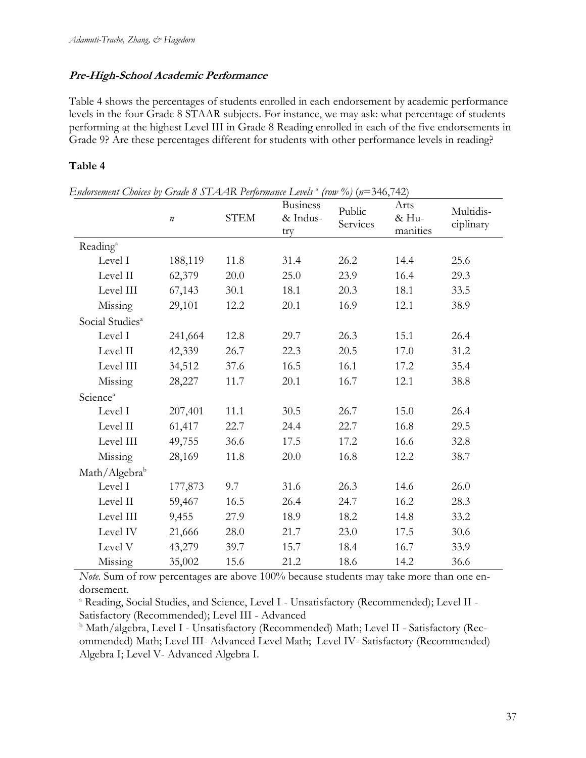## **Pre-High-School Academic Performance**

Table 4 shows the percentages of students enrolled in each endorsement by academic performance levels in the four Grade 8 STAAR subjects. For instance, we may ask: what percentage of students performing at the highest Level III in Grade 8 Reading enrolled in each of the five endorsements in Grade 9? Are these percentages different for students with other performance levels in reading?

## **Table 4**

|                             | $\boldsymbol{n}$ | <b>STEM</b> | <b>Business</b><br>& Indus-<br>try | Public<br>Services | Arts<br>& Hu-<br>manities | Multidis-<br>ciplinary |
|-----------------------------|------------------|-------------|------------------------------------|--------------------|---------------------------|------------------------|
| Reading <sup>a</sup>        |                  |             |                                    |                    |                           |                        |
| Level I                     | 188,119          | 11.8        | 31.4                               | 26.2               | 14.4                      | 25.6                   |
| Level II                    | 62,379           | 20.0        | 25.0                               | 23.9               | 16.4                      | 29.3                   |
| Level III                   | 67,143           | 30.1        | 18.1                               | 20.3               | 18.1                      | 33.5                   |
| Missing                     | 29,101           | 12.2        | 20.1                               | 16.9               | 12.1                      | 38.9                   |
| Social Studies <sup>a</sup> |                  |             |                                    |                    |                           |                        |
| Level I                     | 241,664          | 12.8        | 29.7                               | 26.3               | 15.1                      | 26.4                   |
| Level II                    | 42,339           | 26.7        | 22.3                               | 20.5               | 17.0                      | 31.2                   |
| Level III                   | 34,512           | 37.6        | 16.5                               | 16.1               | 17.2                      | 35.4                   |
| Missing                     | 28,227           | 11.7        | 20.1                               | 16.7               | 12.1                      | 38.8                   |
| Science <sup>a</sup>        |                  |             |                                    |                    |                           |                        |
| Level I                     | 207,401          | 11.1        | 30.5                               | 26.7               | 15.0                      | 26.4                   |
| Level II                    | 61,417           | 22.7        | 24.4                               | 22.7               | 16.8                      | 29.5                   |
| Level III                   | 49,755           | 36.6        | 17.5                               | 17.2               | 16.6                      | 32.8                   |
| Missing                     | 28,169           | 11.8        | 20.0                               | 16.8               | 12.2                      | 38.7                   |
| Math/Algebra <sup>b</sup>   |                  |             |                                    |                    |                           |                        |
| Level I                     | 177,873          | 9.7         | 31.6                               | 26.3               | 14.6                      | 26.0                   |
| Level II                    | 59,467           | 16.5        | 26.4                               | 24.7               | 16.2                      | 28.3                   |
| Level III                   | 9,455            | 27.9        | 18.9                               | 18.2               | 14.8                      | 33.2                   |
| Level IV                    | 21,666           | 28.0        | 21.7                               | 23.0               | 17.5                      | 30.6                   |
| Level V                     | 43,279           | 39.7        | 15.7                               | 18.4               | 16.7                      | 33.9                   |
| Missing                     | 35,002           | 15.6        | 21.2                               | 18.6               | 14.2                      | 36.6                   |

*Endorsement Choices by Grade 8 STAAR Performance Levels <sup>a</sup> (row %)* (*n*=346,742)

*Note.* Sum of row percentages are above 100% because students may take more than one endorsement.

<sup>a</sup> Reading, Social Studies, and Science, Level I - Unsatisfactory (Recommended); Level II - Satisfactory (Recommended); Level III - Advanced

<sup>b</sup> Math/algebra, Level I - Unsatisfactory (Recommended) Math; Level II - Satisfactory (Recommended) Math; Level III- Advanced Level Math; Level IV- Satisfactory (Recommended) Algebra I; Level V- Advanced Algebra I.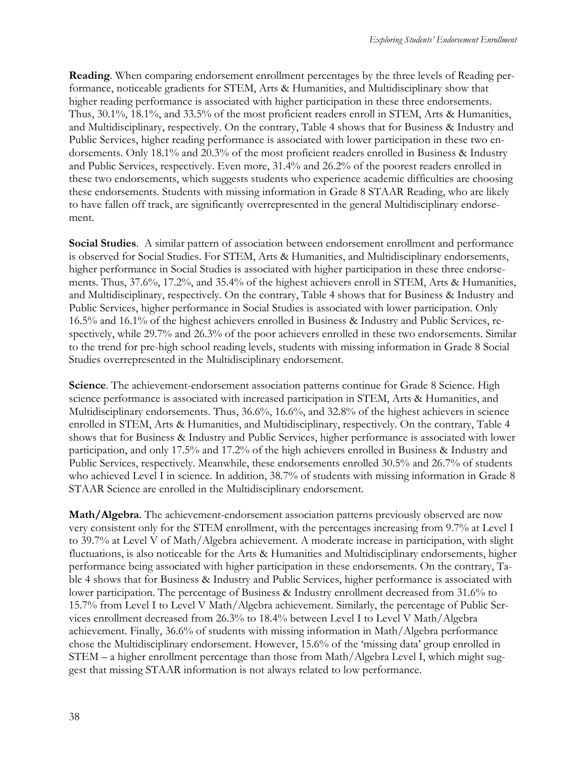**Reading**. When comparing endorsement enrollment percentages by the three levels of Reading performance, noticeable gradients for STEM, Arts & Humanities, and Multidisciplinary show that higher reading performance is associated with higher participation in these three endorsements. Thus, 30.1%, 18.1%, and 33.5% of the most proficient readers enroll in STEM, Arts & Humanities, and Multidisciplinary, respectively. On the contrary, Table 4 shows that for Business & Industry and Public Services, higher reading performance is associated with lower participation in these two endorsements. Only 18.1% and 20.3% of the most proficient readers enrolled in Business & Industry and Public Services, respectively. Even more, 31.4% and 26.2% of the poorest readers enrolled in these two endorsements, which suggests students who experience academic difficulties are choosing these endorsements. Students with missing information in Grade 8 STAAR Reading, who are likely to have fallen off track, are significantly overrepresented in the general Multidisciplinary endorsement.

**Social Studies**. A similar pattern of association between endorsement enrollment and performance is observed for Social Studies. For STEM, Arts & Humanities, and Multidisciplinary endorsements, higher performance in Social Studies is associated with higher participation in these three endorsements. Thus, 37.6%, 17.2%, and 35.4% of the highest achievers enroll in STEM, Arts & Humanities, and Multidisciplinary, respectively. On the contrary, Table 4 shows that for Business & Industry and Public Services, higher performance in Social Studies is associated with lower participation. Only 16.5% and 16.1% of the highest achievers enrolled in Business & Industry and Public Services, respectively, while 29.7% and 26.3% of the poor achievers enrolled in these two endorsements. Similar to the trend for pre-high school reading levels, students with missing information in Grade 8 Social Studies overrepresented in the Multidisciplinary endorsement.

**Science**. The achievement-endorsement association patterns continue for Grade 8 Science. High science performance is associated with increased participation in STEM, Arts & Humanities, and Multidisciplinary endorsements. Thus, 36.6%, 16.6%, and 32.8% of the highest achievers in science enrolled in STEM, Arts & Humanities, and Multidisciplinary, respectively. On the contrary, Table 4 shows that for Business & Industry and Public Services, higher performance is associated with lower participation, and only 17.5% and 17.2% of the high achievers enrolled in Business & Industry and Public Services, respectively. Meanwhile, these endorsements enrolled 30.5% and 26.7% of students who achieved Level I in science. In addition, 38.7% of students with missing information in Grade 8 STAAR Science are enrolled in the Multidisciplinary endorsement.

**Math/Algebra**. The achievement-endorsement association patterns previously observed are now very consistent only for the STEM enrollment, with the percentages increasing from 9.7% at Level I to 39.7% at Level V of Math/Algebra achievement. A moderate increase in participation, with slight fluctuations, is also noticeable for the Arts & Humanities and Multidisciplinary endorsements, higher performance being associated with higher participation in these endorsements. On the contrary, Table 4 shows that for Business & Industry and Public Services, higher performance is associated with lower participation. The percentage of Business & Industry enrollment decreased from 31.6% to 15.7% from Level I to Level V Math/Algebra achievement. Similarly, the percentage of Public Services enrollment decreased from 26.3% to 18.4% between Level I to Level V Math/Algebra achievement. Finally, 36.6% of students with missing information in Math/Algebra performance chose the Multidisciplinary endorsement. However, 15.6% of the 'missing data' group enrolled in STEM – a higher enrollment percentage than those from Math/Algebra Level I, which might suggest that missing STAAR information is not always related to low performance.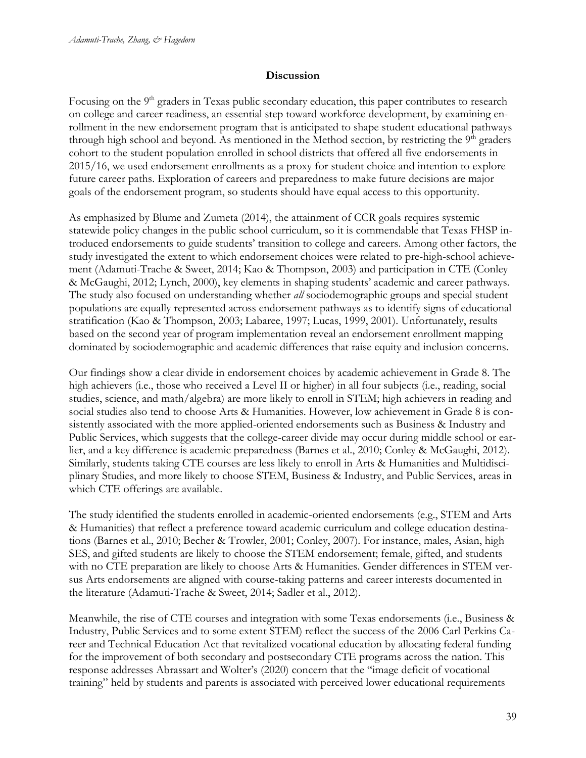#### **Discussion**

Focusing on the 9<sup>th</sup> graders in Texas public secondary education, this paper contributes to research on college and career readiness, an essential step toward workforce development, by examining enrollment in the new endorsement program that is anticipated to shape student educational pathways through high school and beyond. As mentioned in the Method section, by restricting the  $9<sup>th</sup>$  graders cohort to the student population enrolled in school districts that offered all five endorsements in 2015/16, we used endorsement enrollments as a proxy for student choice and intention to explore future career paths. Exploration of careers and preparedness to make future decisions are major goals of the endorsement program, so students should have equal access to this opportunity.

As emphasized by Blume and Zumeta (2014), the attainment of CCR goals requires systemic statewide policy changes in the public school curriculum, so it is commendable that Texas FHSP introduced endorsements to guide students' transition to college and careers. Among other factors, the study investigated the extent to which endorsement choices were related to pre-high-school achievement (Adamuti-Trache & Sweet, 2014; Kao & Thompson, 2003) and participation in CTE (Conley & McGaughi, 2012; Lynch, 2000), key elements in shaping students' academic and career pathways. The study also focused on understanding whether *all* sociodemographic groups and special student populations are equally represented across endorsement pathways as to identify signs of educational stratification (Kao & Thompson, 2003; Labaree, 1997; Lucas, 1999, 2001). Unfortunately, results based on the second year of program implementation reveal an endorsement enrollment mapping dominated by sociodemographic and academic differences that raise equity and inclusion concerns.

Our findings show a clear divide in endorsement choices by academic achievement in Grade 8. The high achievers (i.e., those who received a Level II or higher) in all four subjects (i.e., reading, social studies, science, and math/algebra) are more likely to enroll in STEM; high achievers in reading and social studies also tend to choose Arts & Humanities. However, low achievement in Grade 8 is consistently associated with the more applied-oriented endorsements such as Business & Industry and Public Services, which suggests that the college-career divide may occur during middle school or earlier, and a key difference is academic preparedness (Barnes et al., 2010; Conley & McGaughi, 2012). Similarly, students taking CTE courses are less likely to enroll in Arts & Humanities and Multidisciplinary Studies, and more likely to choose STEM, Business & Industry, and Public Services, areas in which CTE offerings are available.

The study identified the students enrolled in academic-oriented endorsements (e.g., STEM and Arts & Humanities) that reflect a preference toward academic curriculum and college education destinations (Barnes et al., 2010; Becher & Trowler, 2001; Conley, 2007). For instance, males, Asian, high SES, and gifted students are likely to choose the STEM endorsement; female, gifted, and students with no CTE preparation are likely to choose Arts & Humanities. Gender differences in STEM versus Arts endorsements are aligned with course-taking patterns and career interests documented in the literature (Adamuti-Trache & Sweet, 2014; Sadler et al., 2012).

Meanwhile, the rise of CTE courses and integration with some Texas endorsements (i.e., Business & Industry, Public Services and to some extent STEM) reflect the success of the 2006 Carl Perkins Career and Technical Education Act that revitalized vocational education by allocating federal funding for the improvement of both secondary and postsecondary CTE programs across the nation. This response addresses Abrassart and Wolter's (2020) concern that the "image deficit of vocational training" held by students and parents is associated with perceived lower educational requirements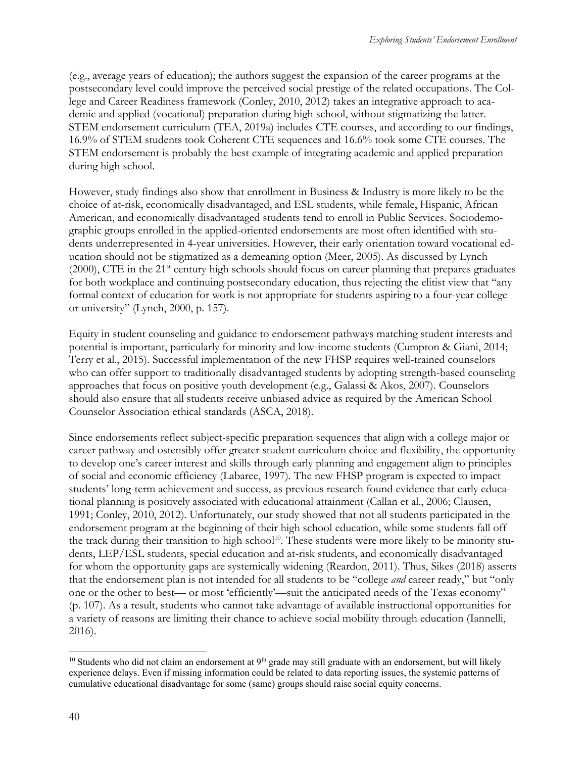(e.g., average years of education); the authors suggest the expansion of the career programs at the postsecondary level could improve the perceived social prestige of the related occupations. The College and Career Readiness framework (Conley, 2010, 2012) takes an integrative approach to academic and applied (vocational) preparation during high school, without stigmatizing the latter. STEM endorsement curriculum (TEA, 2019a) includes CTE courses, and according to our findings, 16.9% of STEM students took Coherent CTE sequences and 16.6% took some CTE courses. The STEM endorsement is probably the best example of integrating academic and applied preparation during high school.

However, study findings also show that enrollment in Business & Industry is more likely to be the choice of at-risk, economically disadvantaged, and ESL students, while female, Hispanic, African American, and economically disadvantaged students tend to enroll in Public Services. Sociodemographic groups enrolled in the applied-oriented endorsements are most often identified with students underrepresented in 4-year universities. However, their early orientation toward vocational education should not be stigmatized as a demeaning option (Meer, 2005). As discussed by Lynch  $(2000)$ , CTE in the 21<sup>st</sup> century high schools should focus on career planning that prepares graduates for both workplace and continuing postsecondary education, thus rejecting the elitist view that "any formal context of education for work is not appropriate for students aspiring to a four-year college or university" (Lynch, 2000, p. 157).

Equity in student counseling and guidance to endorsement pathways matching student interests and potential is important, particularly for minority and low-income students (Cumpton & Giani, 2014; Terry et al., 2015). Successful implementation of the new FHSP requires well-trained counselors who can offer support to traditionally disadvantaged students by adopting strength-based counseling approaches that focus on positive youth development (e.g., Galassi & Akos, 2007). Counselors should also ensure that all students receive unbiased advice as required by the American School Counselor Association ethical standards (ASCA, 2018).

Since endorsements reflect subject-specific preparation sequences that align with a college major or career pathway and ostensibly offer greater student curriculum choice and flexibility, the opportunity to develop one's career interest and skills through early planning and engagement align to principles of social and economic efficiency (Labaree, 1997). The new FHSP program is expected to impact students' long-term achievement and success, as previous research found evidence that early educational planning is positively associated with educational attainment (Callan et al., 2006; Clausen, 1991; Conley, 2010, 2012). Unfortunately, our study showed that not all students participated in the endorsement program at the beginning of their high school education, while some students fall off the track during their transition to high school<sup>10</sup>. These students were more likely to be minority students, LEP/ESL students, special education and at-risk students, and economically disadvantaged for whom the opportunity gaps are systemically widening (Reardon, 2011). Thus, Sikes (2018) asserts that the endorsement plan is not intended for all students to be "college *and* career ready," but "only one or the other to best— or most 'efficiently'—suit the anticipated needs of the Texas economy" (p. 107). As a result, students who cannot take advantage of available instructional opportunities for a variety of reasons are limiting their chance to achieve social mobility through education (Iannelli, 2016).

 $10$  Students who did not claim an endorsement at  $9<sup>th</sup>$  grade may still graduate with an endorsement, but will likely experience delays. Even if missing information could be related to data reporting issues, the systemic patterns of cumulative educational disadvantage for some (same) groups should raise social equity concerns.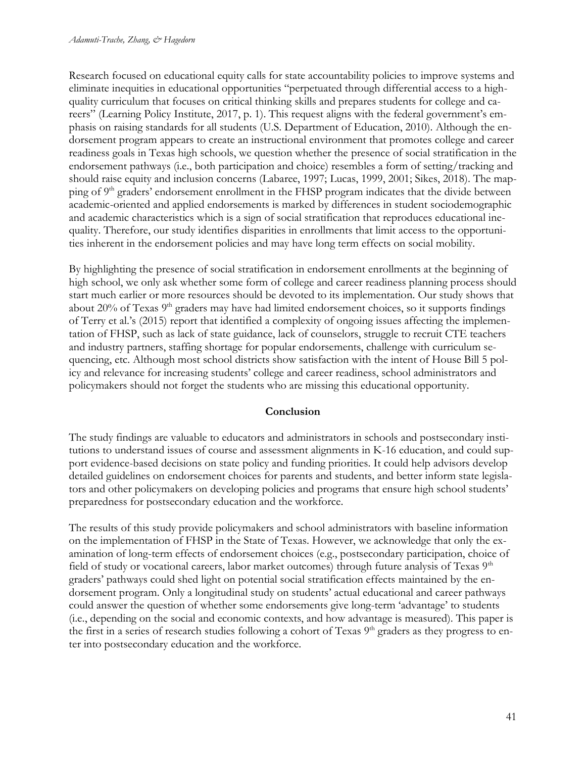Research focused on educational equity calls for state accountability policies to improve systems and eliminate inequities in educational opportunities "perpetuated through differential access to a highquality curriculum that focuses on critical thinking skills and prepares students for college and careers" (Learning Policy Institute, 2017, p. 1). This request aligns with the federal government's emphasis on raising standards for all students (U.S. Department of Education, 2010). Although the endorsement program appears to create an instructional environment that promotes college and career readiness goals in Texas high schools, we question whether the presence of social stratification in the endorsement pathways (i.e., both participation and choice) resembles a form of setting/tracking and should raise equity and inclusion concerns (Labaree, 1997; Lucas, 1999, 2001; Sikes, 2018). The mapping of 9<sup>th</sup> graders' endorsement enrollment in the FHSP program indicates that the divide between academic-oriented and applied endorsements is marked by differences in student sociodemographic and academic characteristics which is a sign of social stratification that reproduces educational inequality. Therefore, our study identifies disparities in enrollments that limit access to the opportunities inherent in the endorsement policies and may have long term effects on social mobility.

By highlighting the presence of social stratification in endorsement enrollments at the beginning of high school, we only ask whether some form of college and career readiness planning process should start much earlier or more resources should be devoted to its implementation. Our study shows that about 20% of Texas 9<sup>th</sup> graders may have had limited endorsement choices, so it supports findings of Terry et al.'s (2015) report that identified a complexity of ongoing issues affecting the implementation of FHSP, such as lack of state guidance, lack of counselors, struggle to recruit CTE teachers and industry partners, staffing shortage for popular endorsements, challenge with curriculum sequencing, etc. Although most school districts show satisfaction with the intent of House Bill 5 policy and relevance for increasing students' college and career readiness, school administrators and policymakers should not forget the students who are missing this educational opportunity.

## **Conclusion**

The study findings are valuable to educators and administrators in schools and postsecondary institutions to understand issues of course and assessment alignments in K-16 education, and could support evidence-based decisions on state policy and funding priorities. It could help advisors develop detailed guidelines on endorsement choices for parents and students, and better inform state legislators and other policymakers on developing policies and programs that ensure high school students' preparedness for postsecondary education and the workforce.

The results of this study provide policymakers and school administrators with baseline information on the implementation of FHSP in the State of Texas. However, we acknowledge that only the examination of long-term effects of endorsement choices (e.g., postsecondary participation, choice of field of study or vocational careers, labor market outcomes) through future analysis of Texas 9<sup>th</sup> graders' pathways could shed light on potential social stratification effects maintained by the endorsement program. Only a longitudinal study on students' actual educational and career pathways could answer the question of whether some endorsements give long-term 'advantage' to students (i.e., depending on the social and economic contexts, and how advantage is measured). This paper is the first in a series of research studies following a cohort of Texas 9<sup>th</sup> graders as they progress to enter into postsecondary education and the workforce.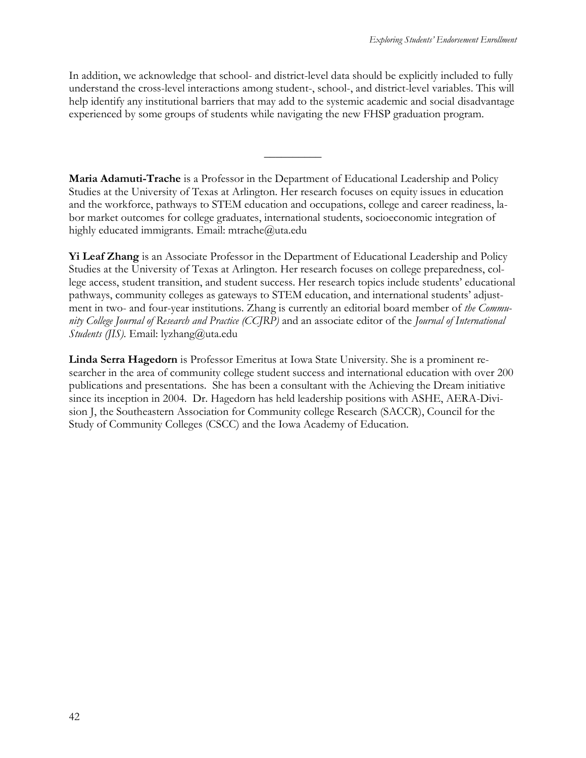In addition, we acknowledge that school- and district-level data should be explicitly included to fully understand the cross-level interactions among student-, school-, and district-level variables. This will help identify any institutional barriers that may add to the systemic academic and social disadvantage experienced by some groups of students while navigating the new FHSP graduation program.

 $\overline{\phantom{a}}$ 

**Maria Adamuti-Trache** is a Professor in the Department of Educational Leadership and Policy Studies at the University of Texas at Arlington. Her research focuses on equity issues in education and the workforce, pathways to STEM education and occupations, college and career readiness, labor market outcomes for college graduates, international students, socioeconomic integration of highly educated immigrants. Email: mtrache@uta.edu

**Yi Leaf Zhang** is an Associate Professor in the Department of Educational Leadership and Policy Studies at the University of Texas at Arlington. Her research focuses on college preparedness, college access, student transition, and student success. Her research topics include students' educational pathways, community colleges as gateways to STEM education, and international students' adjustment in two- and four-year institutions. Zhang is currently an editorial board member of *the Community College Journal of Research and Practice (CCJRP)* and an associate editor of the *Journal of International Students (JIS).* Email: lyzhang@uta.edu

**Linda Serra Hagedorn** is Professor Emeritus at Iowa State University. She is a prominent researcher in the area of community college student success and international education with over 200 publications and presentations. She has been a consultant with the Achieving the Dream initiative since its inception in 2004. Dr. Hagedorn has held leadership positions with ASHE, AERA-Division J, the Southeastern Association for Community college Research (SACCR), Council for the Study of Community Colleges (CSCC) and the Iowa Academy of Education.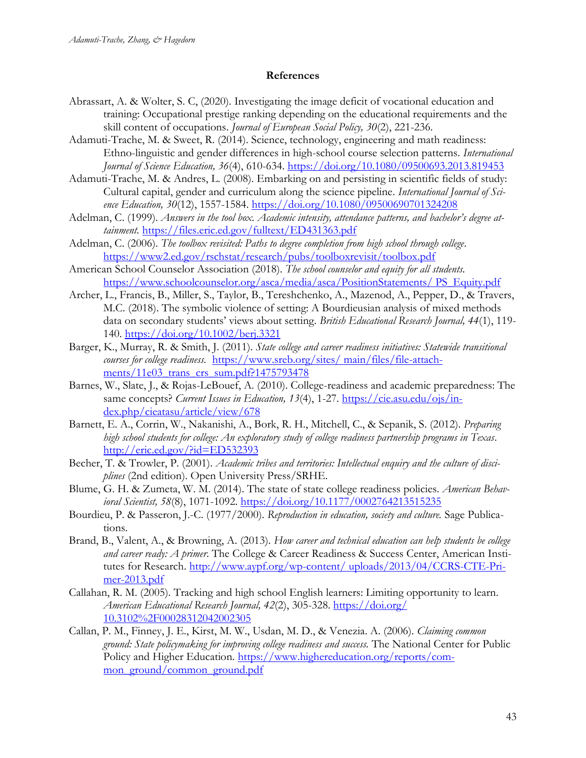#### **References**

- Abrassart, A. & Wolter, S. C, (2020). Investigating the image deficit of vocational education and training: Occupational prestige ranking depending on the educational requirements and the skill content of occupations. *Journal of European Social Policy, 30*(2), 221-236.
- Adamuti-Trache, M. & Sweet, R. (2014). Science, technology, engineering and math readiness: Ethno-linguistic and gender differences in high-school course selection patterns. *International Journal of Science Education, 36*(4), 610-634.<https://doi.org/10.1080/09500693.2013.819453>
- Adamuti-Trache, M. & Andres, L. (2008). Embarking on and persisting in scientific fields of study: Cultural capital, gender and curriculum along the science pipeline. *International Journal of Science Education, 30*(12), 1557-1584.<https://doi.org/10.1080/09500690701324208>
- Adelman, C. (1999). *Answers in the tool box. Academic intensity, attendance patterns, and bachelor's degree attainment.* <https://files.eric.ed.gov/fulltext/ED431363.pdf>
- Adelman, C. (2006). *The toolbox revisited: Paths to degree completion from high school through college*. <https://www2.ed.gov/rschstat/research/pubs/toolboxrevisit/toolbox.pdf>
- American School Counselor Association (2018). *The school counselor and equity for all students.*  [https://www.schoolcounselor.org/asca/media/asca/PositionStatements/ PS\\_Equity.pdf](https://www.schoolcounselor.org/asca/media/asca/PositionStatements/%20PS_Equity.pdf)
- Archer, L., Francis, B., Miller, S., Taylor, B., Tereshchenko, A., Mazenod, A., Pepper, D., & Travers, M.C. (2018). The symbolic violence of setting: A Bourdieusian analysis of mixed methods data on secondary students' views about setting. *British Educational Research Journal, 44*(1), 119- 140.<https://doi.org/10.1002/berj.3321>
- Barger, K., Murray, R. & Smith, J. (2011). *State college and career readiness initiatives: Statewide transitional courses for college readiness.* [https://www.sreb.org/sites/ main/files/file-attach](https://www.sreb.org/sites/%20main/files/file-attachments/11e03_trans_crs_sum.pdf?1475793478)ments/11e03 trans crs sum.pdf?1475793478
- Barnes, W., Slate, J., & Rojas-LeBouef, A. (2010). College-readiness and academic preparedness: The same concepts? *Current Issues in Education*, 13(4), 1-27. [https://cie.asu.edu/ojs/in](https://cie.asu.edu/ojs/index.php/cieatasu/article/view/678)[dex.php/cieatasu/article/view/678](https://cie.asu.edu/ojs/index.php/cieatasu/article/view/678)
- Barnett, E. A., Corrin, W., Nakanishi, A., Bork, R. H., Mitchell, C., & Sepanik, S. (2012). *Preparing high school students for college: An exploratory study of college readiness partnership programs in Texas*. <http://eric.ed.gov/?id=ED532393>
- Becher, T. & Trowler, P. (2001). *Academic tribes and territories: Intellectual enquiry and the culture of disciplines* (2nd edition). Open University Press/SRHE.
- Blume, G. H. & Zumeta, W. M. (2014). The state of state college readiness policies. *American Behavioral Scientist, 58*(8), 1071-1092.<https://doi.org/10.1177/0002764213515235>
- Bourdieu, P. & Passeron, J.-C. (1977/2000). *Reproduction in education, society and culture.* Sage Publications.
- Brand, B., Valent, A., & Browning, A. (2013). *How career and technical education can help students be college and career ready: A primer*. The College & Career Readiness & Success Center, American Institutes for Research. [http://www.aypf.org/wp-content/ uploads/2013/04/CCRS-CTE-Pri](http://www.aypf.org/wp-content/%20uploads/2013/04/CCRS-CTE-Primer-2013.pdf)[mer-2013.pdf](http://www.aypf.org/wp-content/%20uploads/2013/04/CCRS-CTE-Primer-2013.pdf)
- Callahan, R. M. (2005). Tracking and high school English learners: Limiting opportunity to learn. *American Educational Research Journal, 42*(2), 305-328. [https://doi.org/](https://doi.org/%2010.3102%2F00028312042002305)  [10.3102%2F00028312042002305](https://doi.org/%2010.3102%2F00028312042002305)
- Callan, P. M., Finney, J. E., Kirst, M. W., Usdan, M. D., & Venezia. A. (2006). *Claiming common ground: State policymaking for improving college readiness and success.* The National Center for Public Policy and Higher Education. [https://www.highereducation.org/reports/com](https://www.highereducation.org/reports/common_ground/common_ground.pdf)[mon\\_ground/common\\_ground.pdf](https://www.highereducation.org/reports/common_ground/common_ground.pdf)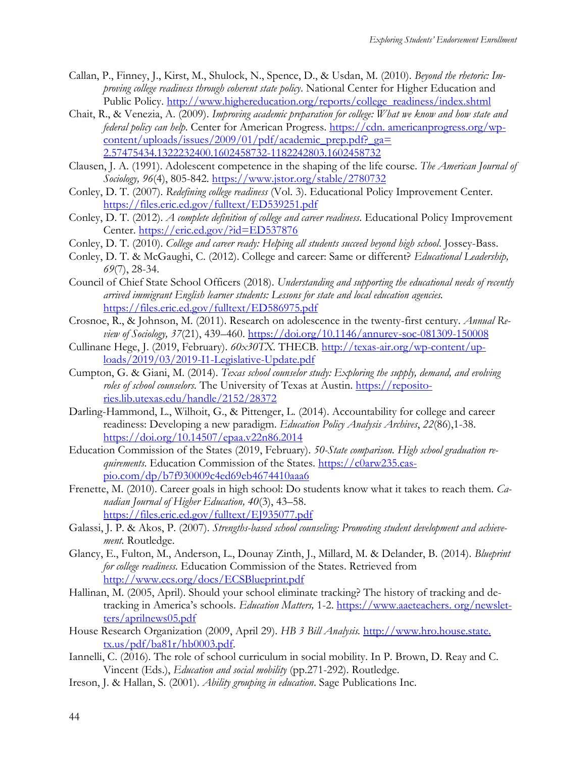- Callan, P., Finney, J., Kirst, M., Shulock, N., Spence, D., & Usdan, M. (2010). *Beyond the rhetoric: Improving college readiness through coherent state policy*. National Center for Higher Education and Public Policy. [http://www.highereducation.org/reports/college\\_readiness/index.shtml](http://www.highereducation.org/reports/college_readiness/index.shtml)
- Chait, R., & Venezia, A. (2009). *Improving academic preparation for college: What we know and how state and federal policy can help.* Center for American Progress. https://cdn. americanprogress.org/wp- $\frac{\text{content/uploads/issues/2009/01/pdf/academic-prep.pdf?}$  ga= 2.57475434.1322232400.1602458732-1182242803.1602458732
- Clausen, J. A. (1991). Adolescent competence in the shaping of the life course. *The American Journal of Sociology, 96*(4), 805-842.<https://www.jstor.org/stable/2780732>
- Conley, D. T. (2007). *Redefining college readiness* (Vol. 3). Educational Policy Improvement Center. <https://files.eric.ed.gov/fulltext/ED539251.pdf>
- Conley, D. T. (2012). *A complete definition of college and career readiness*. Educational Policy Improvement Center.<https://eric.ed.gov/?id=ED537876>
- Conley, D. T. (2010). *College and career ready: Helping all students succeed beyond high school*. Jossey-Bass.
- Conley, D. T. & McGaughi, C. (2012). College and career: Same or different? *Educational Leadership, 69*(7), 28-34.
- Council of Chief State School Officers (2018). *Understanding and supporting the educational needs of recently arrived immigrant English learner students: Lessons for state and local education agencies.*  <https://files.eric.ed.gov/fulltext/ED586975.pdf>
- Crosnoe, R., & Johnson, M. (2011). Research on adolescence in the twenty-first century. *Annual Review of Sociology, 37*(21), 439–460.<https://doi.org/10.1146/annurev-soc-081309-150008>
- Cullinane Hege, J. (2019, February). *60x30TX.* THECB. [http://texas-air.org/wp-content/up](http://texas-air.org/wp-content/uploads/2019/03/2019-I1-Legislative-Update.pdf)[loads/2019/03/2019-I1-Legislative-Update.pdf](http://texas-air.org/wp-content/uploads/2019/03/2019-I1-Legislative-Update.pdf)
- Cumpton, G. & Giani, M. (2014). *Texas school counselor study: Exploring the supply, demand, and evolving*  roles of school counselors. The University of Texas at Austin. [https://reposito](https://repositories.lib.utexas.edu/handle/2152/28372)[ries.lib.utexas.edu/handle/2152/28372](https://repositories.lib.utexas.edu/handle/2152/28372)
- Darling-Hammond, L., Wilhoit, G., & Pittenger, L. (2014). Accountability for college and career readiness: Developing a new paradigm. *Education Policy Analysis Archives*, *22*(86),1-38. <https://doi.org/10.14507/epaa.v22n86.2014>
- Education Commission of the States (2019, February). *50-State comparison. High school graduation requirements*. Education Commission of the States. [https://c0arw235.cas](https://c0arw235.caspio.com/dp/b7f930009c4ed69eb4674410aaa6)[pio.com/dp/b7f930009c4ed69eb4674410aaa6](https://c0arw235.caspio.com/dp/b7f930009c4ed69eb4674410aaa6)
- Frenette, M. (2010). Career goals in high school: Do students know what it takes to reach them. *Canadian Journal of Higher Education, 40*(3), 43–58. <https://files.eric.ed.gov/fulltext/EJ935077.pdf>
- Galassi, J. P. & Akos, P. (2007). *Strengths-based school counseling: Promoting student development and achievement.* Routledge.
- Glancy, E., Fulton, M., Anderson, L., Dounay Zinth, J., Millard, M. & Delander, B. (2014). *Blueprint for college readiness.* Education Commission of the States. Retrieved from <http://www.ecs.org/docs/ECSBlueprint.pdf>
- Hallinan, M. (2005, April). Should your school eliminate tracking? The history of tracking and detracking in America's schools. *Education Matters,* 1-2. https://www.aaeteachers. org/newsletters/aprilnews05.pdf
- House Research Organization (2009, April 29). *HB 3 Bill Analysis.* http://www.hro.house.state.  $tx.us/pdf/ba81r/hb0003.pdf.$
- Iannelli, C. (2016). The role of school curriculum in social mobility. In P. Brown, D. Reay and C. Vincent (Eds.), *Education and social mobility* (pp.271-292). Routledge.
- Ireson, J. & Hallan, S. (2001). *Ability grouping in education*. Sage Publications Inc.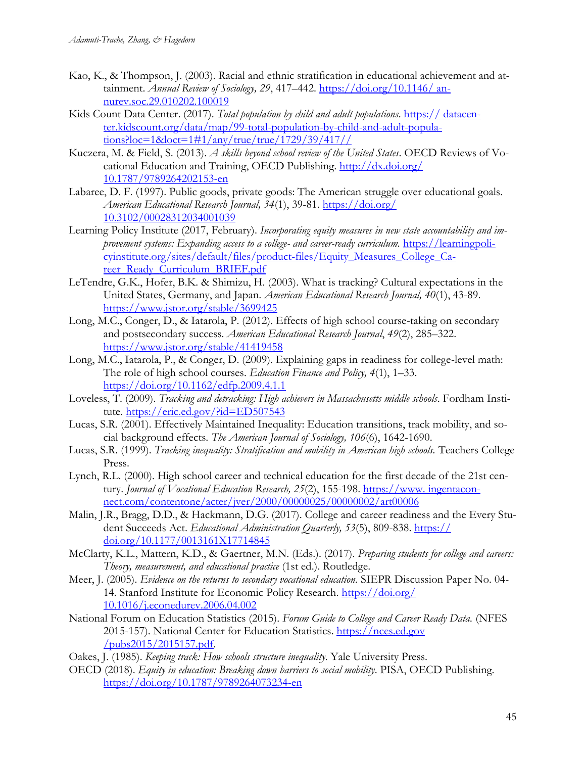- Kao, K., & Thompson, J. (2003). Racial and ethnic stratification in educational achievement and attainment. *Annual Review of Sociology, 29*, 417–442. [https://doi.org/10.1146/ an](https://doi.org/10.1146/%20annurev.soc.29.010202.100019)[nurev.soc.29.010202.100019](https://doi.org/10.1146/%20annurev.soc.29.010202.100019)
- Kids Count Data Center. (2017). *Total population by child and adult populations*. https:// datacenter.kidscount.org/data/map/99-total-population-by-child-and-adult-populations?loc=1&loct=1#1/any/true/true/1729/39/417//
- Kuczera, M. & Field, S. (2013). *A skills beyond school review of the United States*. OECD Reviews of Vocational Education and Training, OECD Publishing. [http://dx.doi.org/](http://dx.doi.org/%2010.1787/9789264202153-en)  [10.1787/9789264202153-en](http://dx.doi.org/%2010.1787/9789264202153-en)
- Labaree, D. F. (1997). Public goods, private goods: The American struggle over educational goals. *American Educational Research Journal, 34*(1), 39-81. [https://doi.org/](https://doi.org/%2010.3102/00028312034001039)  [10.3102/00028312034001039](https://doi.org/%2010.3102/00028312034001039)
- Learning Policy Institute (2017, February). *Incorporating equity measures in new state accountability and improvement systems: Expanding access to a college- and career-ready curriculum.* [https://learningpoli](https://learningpolicyinstitute.org/sites/default/files/product-files/Equity_Measures_College_Career_Ready_Curriculum_BRIEF.pdf)[cyinstitute.org/sites/default/files/product-files/Equity\\_Measures\\_College\\_Ca](https://learningpolicyinstitute.org/sites/default/files/product-files/Equity_Measures_College_Career_Ready_Curriculum_BRIEF.pdf)[reer\\_Ready\\_Curriculum\\_BRIEF.pdf](https://learningpolicyinstitute.org/sites/default/files/product-files/Equity_Measures_College_Career_Ready_Curriculum_BRIEF.pdf)
- LeTendre, G.K., Hofer, B.K. & Shimizu, H. (2003). What is tracking? Cultural expectations in the United States, Germany, and Japan. *American Educational Research Journal, 40*(1), 43-89. <https://www.jstor.org/stable/3699425>
- Long, M.C., Conger, D., & Iatarola, P. (2012). Effects of high school course-taking on secondary and postsecondary success. *American Educational Research Journal*, *49*(2), 285–322. <https://www.jstor.org/stable/41419458>
- Long, M.C., Iatarola, P., & Conger, D. (2009). Explaining gaps in readiness for college-level math: The role of high school courses. *Education Finance and Policy, 4*(1), 1–33. <https://doi.org/10.1162/edfp.2009.4.1.1>
- Loveless, T. (2009). *Tracking and detracking: High achievers in Massachusetts middle schools*. Fordham Institute. <https://eric.ed.gov/?id=ED507543>
- Lucas, S.R. (2001). Effectively Maintained Inequality: Education transitions, track mobility, and social background effects. *The American Journal of Sociology, 106*(6), 1642-1690.
- Lucas, S.R. (1999). *Tracking inequality: Stratification and mobility in American high schools*. Teachers College Press.
- Lynch, R.L. (2000). High school career and technical education for the first decade of the 21st century. *Journal of Vocational Education Research, 25(2)*, 155-198. https://www.ingentaconnect.com/contentone/acter/jver/2000/00000025/00000002/art00006
- Malin, J.R., Bragg, D.D., & Hackmann, D.G. (2017). College and career readiness and the Every Student Succeeds Act. *Educational Administration Quarterly, 53*(5), 809-838. https:// doi.org/10.1177/0013161X17714845
- McClarty, K.L., Mattern, K.D., & Gaertner, M.N. (Eds.). (2017). *Preparing students for college and careers: Theory, measurement, and educational practice* (1st ed.). Routledge.
- Meer, J. (2005). *Evidence on the returns to secondary vocational education.* SIEPR Discussion Paper No. 04- 14. Stanford Institute for Economic Policy Research. [https://doi.org/](https://doi.org/%2010.1016/j.econedurev.2006.04.002)  [10.1016/j.econedurev.2006.04.002](https://doi.org/%2010.1016/j.econedurev.2006.04.002)
- National Forum on Education Statistics (2015). *Forum Guide to College and Career Ready Data.* (NFES 2015-157). National Center for Education Statistics. https://nces.ed.gov /pubs2015/2015157.pdf.
- Oakes, J. (1985). *Keeping track: How schools structure inequality.* Yale University Press.
- OECD (2018). *Equity in education: Breaking down barriers to social mobility*. PISA, OECD Publishing. <https://doi.org/10.1787/9789264073234-en>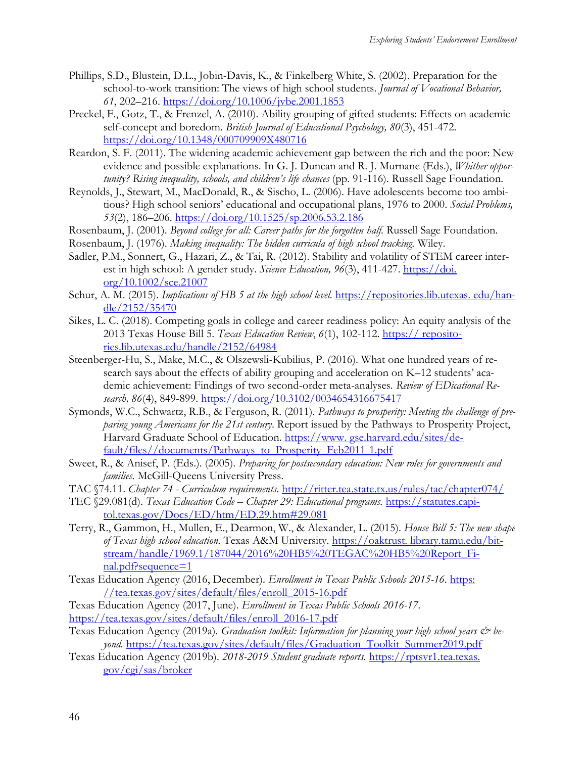- Phillips, S.D., Blustein, D.L., Jobin-Davis, K., & Finkelberg White, S. (2002). Preparation for the school-to-work transition: The views of high school students. *Journal of Vocational Behavior, 61*, 202–216.<https://doi.org/10.1006/jvbe.2001.1853>
- Preckel, F., Gotz, T., & Frenzel, A. (2010). Ability grouping of gifted students: Effects on academic self-concept and boredom. *British Journal of Educational Psychology, 80*(3), 451-472. <https://doi.org/10.1348/000709909X480716>
- Reardon, S. F. (2011). The widening academic achievement gap between the rich and the poor: New evidence and possible explanations. In G. J. Duncan and R. J. Murnane (Eds.), *Whither opportunity? Rising inequality, schools, and children's life chances* (pp. 91-116). Russell Sage Foundation.
- Reynolds, J., Stewart, M., MacDonald, R., & Sischo, L. (2006). Have adolescents become too ambitious? High school seniors' educational and occupational plans, 1976 to 2000. *Social Problems, 53*(2), 186–206.<https://doi.org/10.1525/sp.2006.53.2.186>
- Rosenbaum, J. (2001). *Beyond college for all: Career paths for the forgotten half.* Russell Sage Foundation.
- Rosenbaum, J. (1976). *Making inequality: The hidden curricula of high school tracking.* Wiley.
- Sadler, P.M., Sonnert, G., Hazari, Z., & Tai, R. (2012). Stability and volatility of STEM career interest in high school: A gender study. *Science Education*, 96(3), 411-427. https://doi. org/10.1002/sce.21007
- Schur, A. M. (2015). *Implications of HB 5 at the high school level*. **https://repositories.lib.utexas. edu/han**dle/2152/35470
- Sikes, L. C. (2018). Competing goals in college and career readiness policy: An equity analysis of the 2013 Texas House Bill 5. *Texas Education Review*, *6*(1), 102-112. https:// repositories.lib.utexas.edu/handle/2152/64984
- Steenberger-Hu, S., Make, M.C., & Olszewsli-Kubilius, P. (2016). What one hundred years of research says about the effects of ability grouping and acceleration on K–12 students' academic achievement: Findings of two second-order meta-analyses. *Review of EDicational Research, 86*(4), 849-899.<https://doi.org/10.3102/0034654316675417>
- Symonds, W.C., Schwartz, R.B., & Ferguson, R. (2011). *Pathways to prosperity: Meeting the challenge of preparing young Americans for the 21st century*. Report issued by the Pathways to Prosperity Project, Harvard Graduate School of Education. https://www.gse.harvard.edu/sites/default/files//documents/Pathways\_to\_Prosperity\_Feb2011-1.pdf
- Sweet, R., & Anisef, P. (Eds.). (2005). *Preparing for postsecondary education: New roles for governments and families.* McGill-Queens University Press.
- TAC §74.11. *Chapter 74 - Curriculum requirements*.<http://ritter.tea.state.tx.us/rules/tac/chapter074/>
- TEC §29.081(d). *Texas Education Code – Chapter 29: Educational programs.* [https://statutes.capi](https://statutes.capitol.texas.gov/Docs/ED/htm/ED.29.htm#29.081)[tol.texas.gov/Docs/ED/htm/ED.29.htm#29.081](https://statutes.capitol.texas.gov/Docs/ED/htm/ED.29.htm#29.081)
- Terry, R., Gammon, H., Mullen, E., Dearmon, W., & Alexander, L. (2015). *House Bill 5: The new shape of Texas high school education.* Texas A&M University. https://oaktrust. library.tamu.edu/bitstream/handle/1969.1/187044/2016%20HB5%20TEGAC%20HB5%20Report\_Final.pdf?sequence=1
- Texas Education Agency (2016, December). *Enrollment in Texas Public Schools 2015-16*. [https:](https://tea.texas.gov/sites/default/files/enroll_2015-16.pdf)  [//tea.texas.gov/sites/default/files/enroll\\_2015-16.pdf](https://tea.texas.gov/sites/default/files/enroll_2015-16.pdf)
- Texas Education Agency (2017, June). *Enrollment in Texas Public Schools 2016-17*. [https://tea.texas.gov/sites/default/files/enroll\\_2016-17.pdf](https://tea.texas.gov/sites/default/files/enroll_2016-17.pdf)
- Texas Education Agency (2019a). *Graduation toolkit: Information for planning your high school years & beyond.* [https://tea.texas.gov/sites/default/files/Graduation\\_Toolkit\\_Summer2019.pdf](https://tea.texas.gov/sites/default/files/Graduation_Toolkit_Summer2019.pdf)
- Texas Education Agency (2019b). *2018-2019 Student graduate reports.* https://rptsvr1.tea.texas. gov/cgi/sas/broker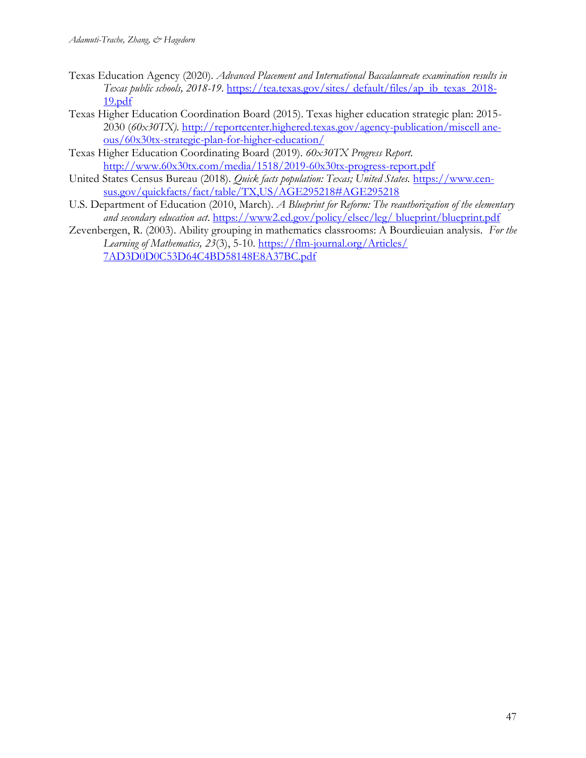- Texas Education Agency (2020). *Advanced Placement and International Baccalaureate examination results in Texas public schools, 2018-19*. [https://tea.texas.gov/sites/ default/files/ap\\_ib\\_texas\\_2018-](https://tea.texas.gov/sites/%20default/files/ap_ib_texas_2018-19.pdf) [19.pdf](https://tea.texas.gov/sites/%20default/files/ap_ib_texas_2018-19.pdf)
- Texas Higher Education Coordination Board (2015). Texas higher education strategic plan: 2015- 2030 (*60x30TX).* [http://reportcenter.highered.texas.gov/agency-publication/miscell ane](http://reportcenter.highered.texas.gov/agency-publication/miscell%20aneous/60x30tx-strategic-plan-for-higher-education/)[ous/60x30tx-strategic-plan-for-higher-education/](http://reportcenter.highered.texas.gov/agency-publication/miscell%20aneous/60x30tx-strategic-plan-for-higher-education/)
- Texas Higher Education Coordinating Board (2019). *60x30TX Progress Report*. <http://www.60x30tx.com/media/1518/2019-60x30tx-progress-report.pdf>
- United States Census Bureau (2018). *Quick facts population: Texas; United States.* [https://www.cen](https://www.census.gov/quickfacts/fact/table/TX,US/AGE295218#AGE295218)[sus.gov/quickfacts/fact/table/TX,US/AGE295218#AGE295218](https://www.census.gov/quickfacts/fact/table/TX,US/AGE295218#AGE295218)
- U.S. Department of Education (2010, March). *A Blueprint for Reform: The reauthorization of the elementary and secondary education act*. [https://www2.ed.gov/policy/elsec/leg/ blueprint/blueprint.pdf](https://www2.ed.gov/policy/elsec/leg/%20blueprint/blueprint.pdf)
- Zevenbergen, R. (2003). Ability grouping in mathematics classrooms: A Bourdieuian analysis. *For the Learning of Mathematics, 23*(3), 5-10. [https://flm-journal.org/Articles/](https://flm-journal.org/Articles/%207AD3D0D0C53D64C4BD58148E8A37BC.pdf)  [7AD3D0D0C53D64C4BD58148E8A37BC.pdf](https://flm-journal.org/Articles/%207AD3D0D0C53D64C4BD58148E8A37BC.pdf)